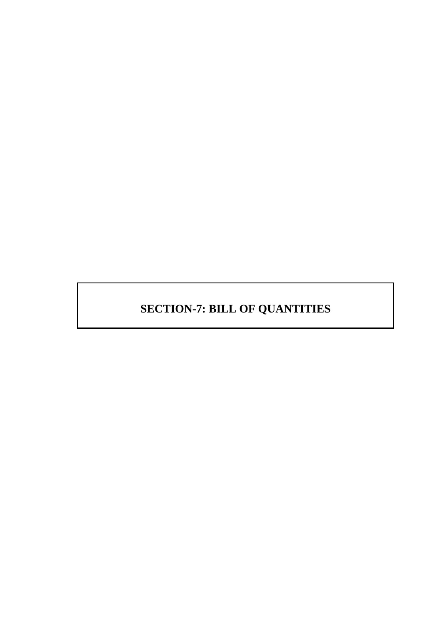# **SECTION-7: BILL OF QUANTITIES**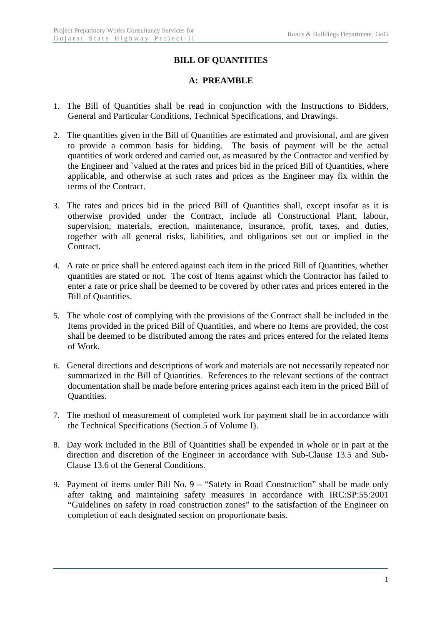#### **BILL OF QUANTITIES**

#### **A: PREAMBLE**

- 1. The Bill of Quantities shall be read in conjunction with the Instructions to Bidders, General and Particular Conditions, Technical Specifications, and Drawings.
- 2. The quantities given in the Bill of Quantities are estimated and provisional, and are given to provide a common basis for bidding. The basis of payment will be the actual quantities of work ordered and carried out, as measured by the Contractor and verified by the Engineer and `valued at the rates and prices bid in the priced Bill of Quantities, where applicable, and otherwise at such rates and prices as the Engineer may fix within the terms of the Contract.
- 3. The rates and prices bid in the priced Bill of Quantities shall, except insofar as it is otherwise provided under the Contract, include all Constructional Plant, labour, supervision, materials, erection, maintenance, insurance, profit, taxes, and duties, together with all general risks, liabilities, and obligations set out or implied in the Contract.
- 4. A rate or price shall be entered against each item in the priced Bill of Quantities, whether quantities are stated or not. The cost of Items against which the Contractor has failed to enter a rate or price shall be deemed to be covered by other rates and prices entered in the Bill of Quantities.
- 5. The whole cost of complying with the provisions of the Contract shall be included in the Items provided in the priced Bill of Quantities, and where no Items are provided, the cost shall be deemed to be distributed among the rates and prices entered for the related Items of Work.
- 6. General directions and descriptions of work and materials are not necessarily repeated nor summarized in the Bill of Quantities. References to the relevant sections of the contract documentation shall be made before entering prices against each item in the priced Bill of Quantities.
- 7. The method of measurement of completed work for payment shall be in accordance with the Technical Specifications (Section 5 of Volume I).
- 8. Day work included in the Bill of Quantities shall be expended in whole or in part at the direction and discretion of the Engineer in accordance with Sub-Clause 13.5 and Sub-Clause 13.6 of the General Conditions.
- 9. Payment of items under Bill No. 9 "Safety in Road Construction" shall be made only after taking and maintaining safety measures in accordance with IRC:SP:55:2001 "Guidelines on safety in road construction zones" to the satisfaction of the Engineer on completion of each designated section on proportionate basis.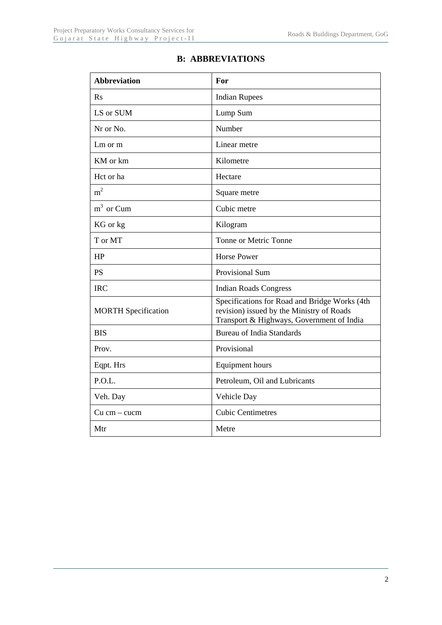| <b>Abbreviation</b>        | For                                                                                                                                     |
|----------------------------|-----------------------------------------------------------------------------------------------------------------------------------------|
| R <sub>S</sub>             | <b>Indian Rupees</b>                                                                                                                    |
| LS or SUM                  | Lump Sum                                                                                                                                |
| Nr or No.                  | Number                                                                                                                                  |
| $Lm$ or $m$                | Linear metre                                                                                                                            |
| KM or km                   | Kilometre                                                                                                                               |
| Hct or ha                  | Hectare                                                                                                                                 |
| m <sup>2</sup>             | Square metre                                                                                                                            |
| $m3$ or Cum                | Cubic metre                                                                                                                             |
| KG or kg                   | Kilogram                                                                                                                                |
| T or MT                    | Tonne or Metric Tonne                                                                                                                   |
| HP                         | <b>Horse Power</b>                                                                                                                      |
| <b>PS</b>                  | Provisional Sum                                                                                                                         |
| <b>IRC</b>                 | <b>Indian Roads Congress</b>                                                                                                            |
| <b>MORTH Specification</b> | Specifications for Road and Bridge Works (4th<br>revision) issued by the Ministry of Roads<br>Transport & Highways, Government of India |
| <b>BIS</b>                 | <b>Bureau of India Standards</b>                                                                                                        |
| Prov.                      | Provisional                                                                                                                             |
| Eqpt. Hrs                  | <b>Equipment hours</b>                                                                                                                  |
| P.O.L.                     | Petroleum, Oil and Lubricants                                                                                                           |
| Veh. Day                   | Vehicle Day                                                                                                                             |
| Cu cm – cucm               | <b>Cubic Centimetres</b>                                                                                                                |
| Mtr                        | Metre                                                                                                                                   |

### **B: ABBREVIATIONS**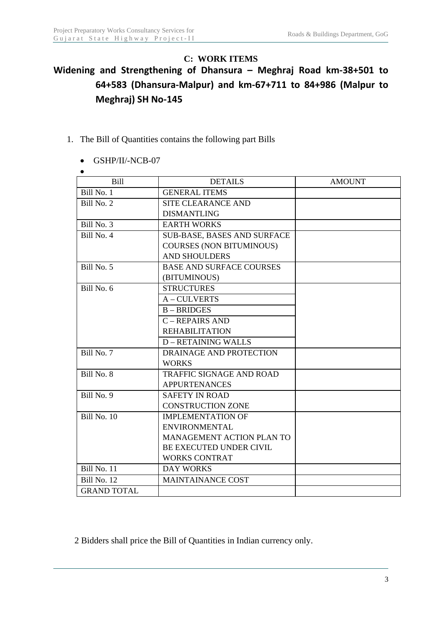#### **C: WORK ITEMS**

# **Widening and Strengthening of Dhansura – Meghraj Road km‐38+501 to 64+583 (Dhansura‐Malpur) and km‐67+711 to 84+986 (Malpur to Meghraj) SH No‐145**

- 1. The Bill of Quantities contains the following part Bills
	- GSHP/II/-NCB-07

| $\bullet$          |                                    |               |
|--------------------|------------------------------------|---------------|
| Bill               | <b>DETAILS</b>                     | <b>AMOUNT</b> |
| Bill No. 1         | <b>GENERAL ITEMS</b>               |               |
| Bill No. 2         | <b>SITE CLEARANCE AND</b>          |               |
|                    | <b>DISMANTLING</b>                 |               |
| Bill No. 3         | <b>EARTH WORKS</b>                 |               |
| Bill No. 4         | <b>SUB-BASE, BASES AND SURFACE</b> |               |
|                    | <b>COURSES (NON BITUMINOUS)</b>    |               |
|                    | <b>AND SHOULDERS</b>               |               |
| Bill No. 5         | <b>BASE AND SURFACE COURSES</b>    |               |
|                    | (BITUMINOUS)                       |               |
| Bill No. 6         | <b>STRUCTURES</b>                  |               |
|                    | A-CULVERTS                         |               |
|                    | $B - BRIDGES$                      |               |
|                    | C - REPAIRS AND                    |               |
|                    | <b>REHABILITATION</b>              |               |
|                    | <b>D-RETAINING WALLS</b>           |               |
| Bill No. 7         | DRAINAGE AND PROTECTION            |               |
|                    | <b>WORKS</b>                       |               |
| Bill No. 8         | <b>TRAFFIC SIGNAGE AND ROAD</b>    |               |
|                    | <b>APPURTENANCES</b>               |               |
| Bill No. 9         | <b>SAFETY IN ROAD</b>              |               |
|                    | <b>CONSTRUCTION ZONE</b>           |               |
| <b>Bill No. 10</b> | <b>IMPLEMENTATION OF</b>           |               |
|                    | <b>ENVIRONMENTAL</b>               |               |
|                    | MANAGEMENT ACTION PLAN TO          |               |
|                    | BE EXECUTED UNDER CIVIL            |               |
|                    | <b>WORKS CONTRAT</b>               |               |
| Bill No. 11        | <b>DAY WORKS</b>                   |               |
| Bill No. 12        | <b>MAINTAINANCE COST</b>           |               |
| <b>GRAND TOTAL</b> |                                    |               |

2 Bidders shall price the Bill of Quantities in Indian currency only.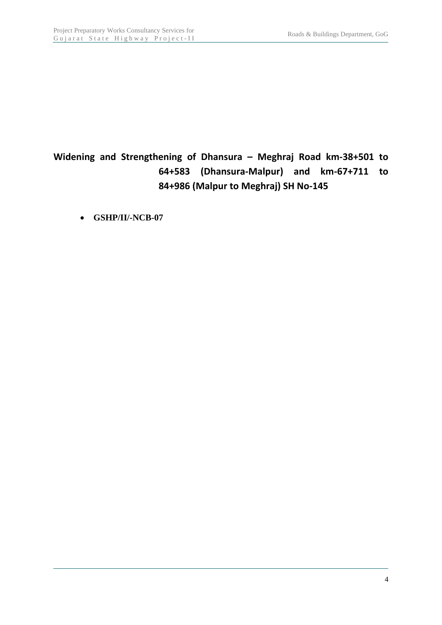# **Widening and Strengthening of Dhansura – Meghraj Road km‐38+501 to 64+583 (Dhansura‐Malpur) and km‐67+711 to 84+986 (Malpur to Meghraj) SH No‐145**

**GSHP/II/-NCB-07**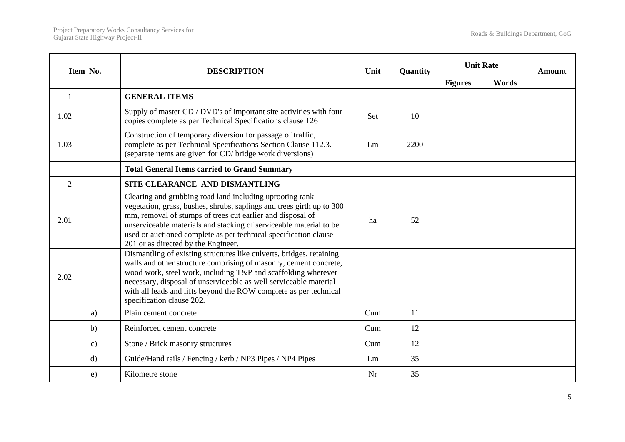|                | Item No.      | <b>DESCRIPTION</b>                                                                                                                                                                                                                                                                                                                                                                | Unit | Quantity |                | <b>Unit Rate</b> | Amount |
|----------------|---------------|-----------------------------------------------------------------------------------------------------------------------------------------------------------------------------------------------------------------------------------------------------------------------------------------------------------------------------------------------------------------------------------|------|----------|----------------|------------------|--------|
|                |               |                                                                                                                                                                                                                                                                                                                                                                                   |      |          | <b>Figures</b> | Words            |        |
| 1              |               | <b>GENERAL ITEMS</b>                                                                                                                                                                                                                                                                                                                                                              |      |          |                |                  |        |
| 1.02           |               | Supply of master CD / DVD's of important site activities with four<br>copies complete as per Technical Specifications clause 126                                                                                                                                                                                                                                                  | Set  | 10       |                |                  |        |
| 1.03           |               | Construction of temporary diversion for passage of traffic,<br>complete as per Technical Specifications Section Clause 112.3.<br>(separate items are given for CD/ bridge work diversions)                                                                                                                                                                                        | Lm   | 2200     |                |                  |        |
|                |               | <b>Total General Items carried to Grand Summary</b>                                                                                                                                                                                                                                                                                                                               |      |          |                |                  |        |
| $\overline{2}$ |               | SITE CLEARANCE AND DISMANTLING                                                                                                                                                                                                                                                                                                                                                    |      |          |                |                  |        |
| 2.01           |               | Clearing and grubbing road land including uprooting rank<br>vegetation, grass, bushes, shrubs, saplings and trees girth up to 300<br>mm, removal of stumps of trees cut earlier and disposal of<br>unserviceable materials and stacking of serviceable material to be<br>used or auctioned complete as per technical specification clause<br>201 or as directed by the Engineer.  | ha   | 52       |                |                  |        |
| 2.02           |               | Dismantling of existing structures like culverts, bridges, retaining<br>walls and other structure comprising of masonry, cement concrete,<br>wood work, steel work, including T&P and scaffolding wherever<br>necessary, disposal of unserviceable as well serviceable material<br>with all leads and lifts beyond the ROW complete as per technical<br>specification clause 202. |      |          |                |                  |        |
|                | a)            | Plain cement concrete                                                                                                                                                                                                                                                                                                                                                             | Cum  | 11       |                |                  |        |
|                | b)            | Reinforced cement concrete                                                                                                                                                                                                                                                                                                                                                        | Cum  | 12       |                |                  |        |
|                | $\mathbf{c})$ | Stone / Brick masonry structures                                                                                                                                                                                                                                                                                                                                                  | Cum  | 12       |                |                  |        |
|                | $\mathbf{d}$  | Guide/Hand rails / Fencing / kerb / NP3 Pipes / NP4 Pipes                                                                                                                                                                                                                                                                                                                         | Lm   | 35       |                |                  |        |
|                | e)            | Kilometre stone                                                                                                                                                                                                                                                                                                                                                                   | Nr   | 35       |                |                  |        |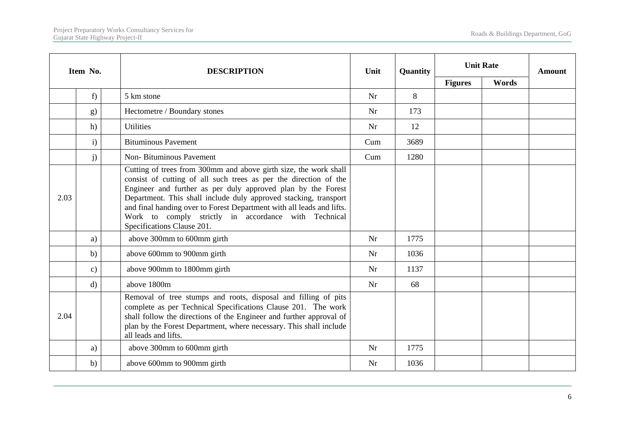|      | Item No.      | <b>DESCRIPTION</b>                                                                                                                                                                                                                                                                                                                                                                                                                      | Unit | Quantity | <b>Unit Rate</b> |       | <b>Amount</b> |
|------|---------------|-----------------------------------------------------------------------------------------------------------------------------------------------------------------------------------------------------------------------------------------------------------------------------------------------------------------------------------------------------------------------------------------------------------------------------------------|------|----------|------------------|-------|---------------|
|      |               |                                                                                                                                                                                                                                                                                                                                                                                                                                         |      |          | <b>Figures</b>   | Words |               |
|      | f)            | 5 km stone                                                                                                                                                                                                                                                                                                                                                                                                                              | Nr   | 8        |                  |       |               |
|      | g)            | Hectometre / Boundary stones                                                                                                                                                                                                                                                                                                                                                                                                            | Nr   | 173      |                  |       |               |
|      | h)            | <b>Utilities</b>                                                                                                                                                                                                                                                                                                                                                                                                                        | Nr   | 12       |                  |       |               |
|      | $\mathbf{i}$  | <b>Bituminous Pavement</b>                                                                                                                                                                                                                                                                                                                                                                                                              | Cum  | 3689     |                  |       |               |
|      | j)            | <b>Non-Bituminous Pavement</b>                                                                                                                                                                                                                                                                                                                                                                                                          | Cum  | 1280     |                  |       |               |
| 2.03 |               | Cutting of trees from 300mm and above girth size, the work shall<br>consist of cutting of all such trees as per the direction of the<br>Engineer and further as per duly approved plan by the Forest<br>Department. This shall include duly approved stacking, transport<br>and final handing over to Forest Department with all leads and lifts.<br>Work to comply strictly in accordance with Technical<br>Specifications Clause 201. |      |          |                  |       |               |
|      | a)            | above 300mm to 600mm girth                                                                                                                                                                                                                                                                                                                                                                                                              | Nr   | 1775     |                  |       |               |
|      | b)            | above 600mm to 900mm girth                                                                                                                                                                                                                                                                                                                                                                                                              | Nr   | 1036     |                  |       |               |
|      | $\mathbf{c})$ | above 900mm to 1800mm girth                                                                                                                                                                                                                                                                                                                                                                                                             | Nr   | 1137     |                  |       |               |
|      | $\mathbf{d}$  | above 1800m                                                                                                                                                                                                                                                                                                                                                                                                                             | Nr   | 68       |                  |       |               |
| 2.04 |               | Removal of tree stumps and roots, disposal and filling of pits<br>complete as per Technical Specifications Clause 201. The work<br>shall follow the directions of the Engineer and further approval of<br>plan by the Forest Department, where necessary. This shall include<br>all leads and lifts.                                                                                                                                    |      |          |                  |       |               |
|      | a)            | above 300mm to 600mm girth                                                                                                                                                                                                                                                                                                                                                                                                              | Nr   | 1775     |                  |       |               |
|      | $\mathbf{b}$  | above 600mm to 900mm girth                                                                                                                                                                                                                                                                                                                                                                                                              | Nr   | 1036     |                  |       |               |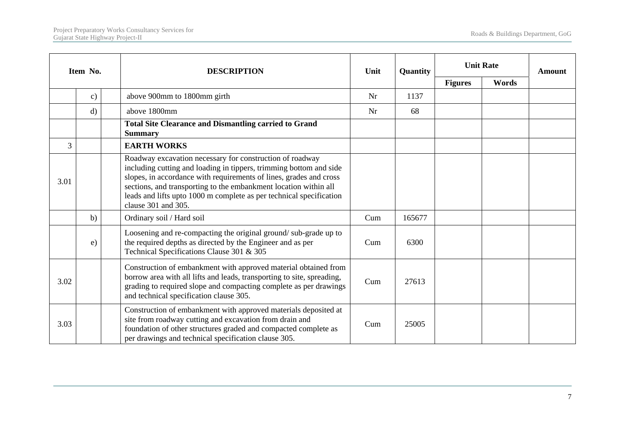|      | Item No.      | <b>DESCRIPTION</b>                                                                                                                                                                                                                                                                                                                                                     | Unit | Quantity | <b>Unit Rate</b> |       | <b>Amount</b> |
|------|---------------|------------------------------------------------------------------------------------------------------------------------------------------------------------------------------------------------------------------------------------------------------------------------------------------------------------------------------------------------------------------------|------|----------|------------------|-------|---------------|
|      |               |                                                                                                                                                                                                                                                                                                                                                                        |      |          | <b>Figures</b>   | Words |               |
|      | $\mathbf{c})$ | above 900mm to 1800mm girth                                                                                                                                                                                                                                                                                                                                            | Nr   | 1137     |                  |       |               |
|      | $\mathbf{d}$  | above 1800mm                                                                                                                                                                                                                                                                                                                                                           | Nr   | 68       |                  |       |               |
|      |               | <b>Total Site Clearance and Dismantling carried to Grand</b><br><b>Summary</b>                                                                                                                                                                                                                                                                                         |      |          |                  |       |               |
| 3    |               | <b>EARTH WORKS</b>                                                                                                                                                                                                                                                                                                                                                     |      |          |                  |       |               |
| 3.01 |               | Roadway excavation necessary for construction of roadway<br>including cutting and loading in tippers, trimming bottom and side<br>slopes, in accordance with requirements of lines, grades and cross<br>sections, and transporting to the embankment location within all<br>leads and lifts upto 1000 m complete as per technical specification<br>clause 301 and 305. |      |          |                  |       |               |
|      | b)            | Ordinary soil / Hard soil                                                                                                                                                                                                                                                                                                                                              | Cum  | 165677   |                  |       |               |
|      | e)            | Loosening and re-compacting the original ground/sub-grade up to<br>the required depths as directed by the Engineer and as per<br>Technical Specifications Clause 301 & 305                                                                                                                                                                                             | Cum  | 6300     |                  |       |               |
| 3.02 |               | Construction of embankment with approved material obtained from<br>borrow area with all lifts and leads, transporting to site, spreading,<br>grading to required slope and compacting complete as per drawings<br>and technical specification clause 305.                                                                                                              | Cum  | 27613    |                  |       |               |
| 3.03 |               | Construction of embankment with approved materials deposited at<br>site from roadway cutting and excavation from drain and<br>foundation of other structures graded and compacted complete as<br>per drawings and technical specification clause 305.                                                                                                                  | Cum  | 25005    |                  |       |               |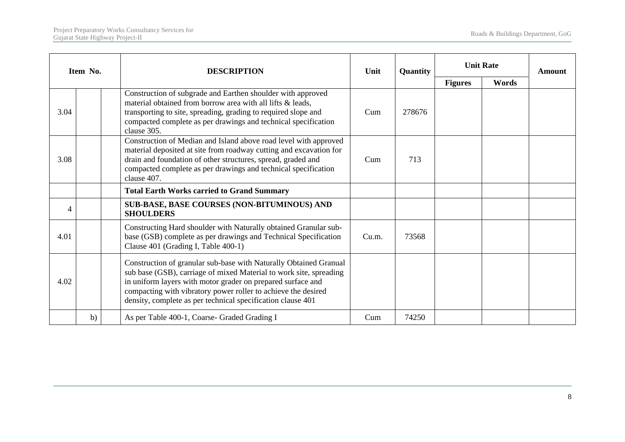|      | Item No. | <b>DESCRIPTION</b>                                                                                                                                                                                                                                                                                                                     | Unit  | Quantity |                | <b>Unit Rate</b> | <b>Amount</b> |
|------|----------|----------------------------------------------------------------------------------------------------------------------------------------------------------------------------------------------------------------------------------------------------------------------------------------------------------------------------------------|-------|----------|----------------|------------------|---------------|
|      |          |                                                                                                                                                                                                                                                                                                                                        |       |          | <b>Figures</b> | Words            |               |
| 3.04 |          | Construction of subgrade and Earthen shoulder with approved<br>material obtained from borrow area with all lifts & leads,<br>transporting to site, spreading, grading to required slope and<br>compacted complete as per drawings and technical specification<br>clause 305.                                                           | Cum   | 278676   |                |                  |               |
| 3.08 |          | Construction of Median and Island above road level with approved<br>material deposited at site from roadway cutting and excavation for<br>drain and foundation of other structures, spread, graded and<br>compacted complete as per drawings and technical specification<br>clause 407.                                                | Cum   | 713      |                |                  |               |
|      |          | <b>Total Earth Works carried to Grand Summary</b>                                                                                                                                                                                                                                                                                      |       |          |                |                  |               |
| 4    |          | <b>SUB-BASE, BASE COURSES (NON-BITUMINOUS) AND</b><br><b>SHOULDERS</b>                                                                                                                                                                                                                                                                 |       |          |                |                  |               |
| 4.01 |          | Constructing Hard shoulder with Naturally obtained Granular sub-<br>base (GSB) complete as per drawings and Technical Specification<br>Clause 401 (Grading I, Table 400-1)                                                                                                                                                             | Cu.m. | 73568    |                |                  |               |
| 4.02 |          | Construction of granular sub-base with Naturally Obtained Granual<br>sub base (GSB), carriage of mixed Material to work site, spreading<br>in uniform layers with motor grader on prepared surface and<br>compacting with vibratory power roller to achieve the desired<br>density, complete as per technical specification clause 401 |       |          |                |                  |               |
|      | b)       | As per Table 400-1, Coarse- Graded Grading I                                                                                                                                                                                                                                                                                           | Cum   | 74250    |                |                  |               |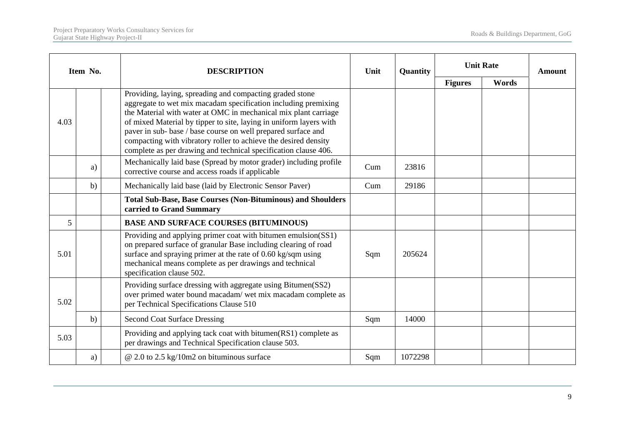|      | Item No. | <b>DESCRIPTION</b>                                                                                                                                                                                                                                                                                                                                                                                                                                                         | Unit | Quantity | <b>Unit Rate</b><br><b>Figures</b><br>Words |  | <b>Amount</b> |
|------|----------|----------------------------------------------------------------------------------------------------------------------------------------------------------------------------------------------------------------------------------------------------------------------------------------------------------------------------------------------------------------------------------------------------------------------------------------------------------------------------|------|----------|---------------------------------------------|--|---------------|
|      |          |                                                                                                                                                                                                                                                                                                                                                                                                                                                                            |      |          |                                             |  |               |
| 4.03 |          | Providing, laying, spreading and compacting graded stone<br>aggregate to wet mix macadam specification including premixing<br>the Material with water at OMC in mechanical mix plant carriage<br>of mixed Material by tipper to site, laying in uniform layers with<br>paver in sub- base / base course on well prepared surface and<br>compacting with vibratory roller to achieve the desired density<br>complete as per drawing and technical specification clause 406. |      |          |                                             |  |               |
|      | a)       | Mechanically laid base (Spread by motor grader) including profile<br>corrective course and access roads if applicable                                                                                                                                                                                                                                                                                                                                                      | Cum  | 23816    |                                             |  |               |
|      | b)       | Mechanically laid base (laid by Electronic Sensor Paver)                                                                                                                                                                                                                                                                                                                                                                                                                   | Cum  | 29186    |                                             |  |               |
|      |          | <b>Total Sub-Base, Base Courses (Non-Bituminous) and Shoulders</b><br>carried to Grand Summary                                                                                                                                                                                                                                                                                                                                                                             |      |          |                                             |  |               |
| 5    |          | <b>BASE AND SURFACE COURSES (BITUMINOUS)</b>                                                                                                                                                                                                                                                                                                                                                                                                                               |      |          |                                             |  |               |
| 5.01 |          | Providing and applying primer coat with bitumen emulsion(SS1)<br>on prepared surface of granular Base including clearing of road<br>surface and spraying primer at the rate of 0.60 kg/sqm using<br>mechanical means complete as per drawings and technical<br>specification clause 502.                                                                                                                                                                                   | Sqm  | 205624   |                                             |  |               |
| 5.02 |          | Providing surface dressing with aggregate using Bitumen(SS2)<br>over primed water bound macadam/ wet mix macadam complete as<br>per Technical Specifications Clause 510                                                                                                                                                                                                                                                                                                    |      |          |                                             |  |               |
|      | b)       | <b>Second Coat Surface Dressing</b>                                                                                                                                                                                                                                                                                                                                                                                                                                        | Sqm  | 14000    |                                             |  |               |
| 5.03 |          | Providing and applying tack coat with bitumen(RS1) complete as<br>per drawings and Technical Specification clause 503.                                                                                                                                                                                                                                                                                                                                                     |      |          |                                             |  |               |
|      | a)       | $\omega$ 2.0 to 2.5 kg/10m2 on bituminous surface                                                                                                                                                                                                                                                                                                                                                                                                                          | Sqm  | 1072298  |                                             |  |               |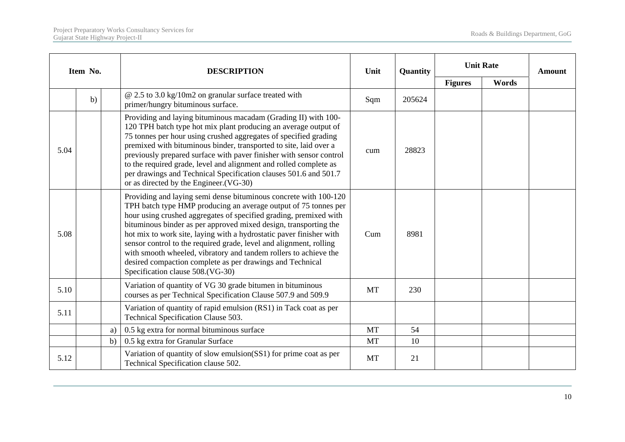|      | Item No. | <b>DESCRIPTION</b>                                                                                                                                                                                                                                                                                                                                                                                                                                                                                                                                                                             | Unit      | Quantity |                | <b>Unit Rate</b> | <b>Amount</b> |
|------|----------|------------------------------------------------------------------------------------------------------------------------------------------------------------------------------------------------------------------------------------------------------------------------------------------------------------------------------------------------------------------------------------------------------------------------------------------------------------------------------------------------------------------------------------------------------------------------------------------------|-----------|----------|----------------|------------------|---------------|
|      |          |                                                                                                                                                                                                                                                                                                                                                                                                                                                                                                                                                                                                |           |          | <b>Figures</b> | Words            |               |
|      | b)       | $@$ 2.5 to 3.0 kg/10m2 on granular surface treated with<br>primer/hungry bituminous surface.                                                                                                                                                                                                                                                                                                                                                                                                                                                                                                   | Sqm       | 205624   |                |                  |               |
| 5.04 |          | Providing and laying bituminous macadam (Grading II) with 100-<br>120 TPH batch type hot mix plant producing an average output of<br>75 tonnes per hour using crushed aggregates of specified grading<br>premixed with bituminous binder, transported to site, laid over a<br>previously prepared surface with paver finisher with sensor control<br>to the required grade, level and alignment and rolled complete as<br>per drawings and Technical Specification clauses 501.6 and 501.7<br>or as directed by the Engineer. (VG-30)                                                          | cum       | 28823    |                |                  |               |
| 5.08 |          | Providing and laying semi dense bituminous concrete with 100-120<br>TPH batch type HMP producing an average output of 75 tonnes per<br>hour using crushed aggregates of specified grading, premixed with<br>bituminous binder as per approved mixed design, transporting the<br>hot mix to work site, laying with a hydrostatic paver finisher with<br>sensor control to the required grade, level and alignment, rolling<br>with smooth wheeled, vibratory and tandem rollers to achieve the<br>desired compaction complete as per drawings and Technical<br>Specification clause 508.(VG-30) | Cum       | 8981     |                |                  |               |
| 5.10 |          | Variation of quantity of VG 30 grade bitumen in bituminous<br>courses as per Technical Specification Clause 507.9 and 509.9                                                                                                                                                                                                                                                                                                                                                                                                                                                                    | <b>MT</b> | 230      |                |                  |               |
| 5.11 |          | Variation of quantity of rapid emulsion (RS1) in Tack coat as per<br>Technical Specification Clause 503.                                                                                                                                                                                                                                                                                                                                                                                                                                                                                       |           |          |                |                  |               |
|      |          | 0.5 kg extra for normal bituminous surface<br>a)                                                                                                                                                                                                                                                                                                                                                                                                                                                                                                                                               | <b>MT</b> | 54       |                |                  |               |
|      |          | 0.5 kg extra for Granular Surface<br>b)                                                                                                                                                                                                                                                                                                                                                                                                                                                                                                                                                        | <b>MT</b> | 10       |                |                  |               |
| 5.12 |          | Variation of quantity of slow emulsion(SS1) for prime coat as per<br>Technical Specification clause 502.                                                                                                                                                                                                                                                                                                                                                                                                                                                                                       | <b>MT</b> | 21       |                |                  |               |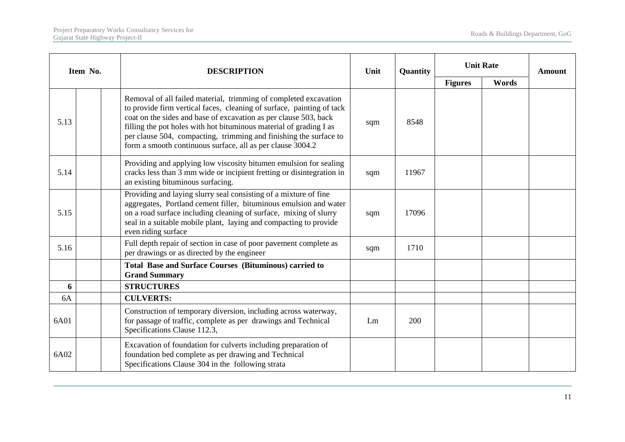| Item No. | <b>DESCRIPTION</b>                                                                                                                                                                                                                                                                                                                                                                                                     | Unit | Quantity |                |                           | <b>Amount</b> |
|----------|------------------------------------------------------------------------------------------------------------------------------------------------------------------------------------------------------------------------------------------------------------------------------------------------------------------------------------------------------------------------------------------------------------------------|------|----------|----------------|---------------------------|---------------|
|          |                                                                                                                                                                                                                                                                                                                                                                                                                        |      |          | <b>Figures</b> | <b>Unit Rate</b><br>Words |               |
| 5.13     | Removal of all failed material, trimming of completed excavation<br>to provide firm vertical faces, cleaning of surface, painting of tack<br>coat on the sides and base of excavation as per clause 503, back<br>filling the pot holes with hot bituminous material of grading I as<br>per clause 504, compacting, trimming and finishing the surface to<br>form a smooth continuous surface, all as per clause 3004.2 | sqm  | 8548     |                |                           |               |
| 5.14     | Providing and applying low viscosity bitumen emulsion for sealing<br>cracks less than 3 mm wide or incipient fretting or disintegration in<br>an existing bituminous surfacing.                                                                                                                                                                                                                                        | sqm  | 11967    |                |                           |               |
| 5.15     | Providing and laying slurry seal consisting of a mixture of fine<br>aggregates, Portland cement filler, bituminous emulsion and water<br>on a road surface including cleaning of surface, mixing of slurry<br>seal in a suitable mobile plant, laying and compacting to provide<br>even riding surface                                                                                                                 | sqm  | 17096    |                |                           |               |
| 5.16     | Full depth repair of section in case of poor pavement complete as<br>per drawings or as directed by the engineer                                                                                                                                                                                                                                                                                                       | sqm  | 1710     |                |                           |               |
|          | <b>Total Base and Surface Courses (Bituminous) carried to</b><br><b>Grand Summary</b>                                                                                                                                                                                                                                                                                                                                  |      |          |                |                           |               |
| 6        | <b>STRUCTURES</b>                                                                                                                                                                                                                                                                                                                                                                                                      |      |          |                |                           |               |
| 6A       | <b>CULVERTS:</b>                                                                                                                                                                                                                                                                                                                                                                                                       |      |          |                |                           |               |
| 6A01     | Construction of temporary diversion, including across waterway,<br>for passage of traffic, complete as per drawings and Technical<br>Specifications Clause 112.3,                                                                                                                                                                                                                                                      | Lm   | 200      |                |                           |               |
| 6A02     | Excavation of foundation for culverts including preparation of<br>foundation bed complete as per drawing and Technical<br>Specifications Clause 304 in the following strata                                                                                                                                                                                                                                            |      |          |                |                           |               |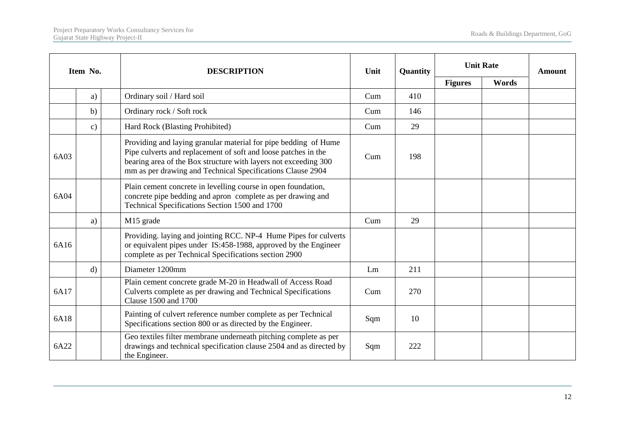|      | Item No.      | <b>DESCRIPTION</b>                                                                                                                                                                                                                                                 | Unit | Quantity |                | <b>Unit Rate</b> | <b>Amount</b> |
|------|---------------|--------------------------------------------------------------------------------------------------------------------------------------------------------------------------------------------------------------------------------------------------------------------|------|----------|----------------|------------------|---------------|
|      |               |                                                                                                                                                                                                                                                                    |      |          | <b>Figures</b> | Words            |               |
|      | a)            | Ordinary soil / Hard soil                                                                                                                                                                                                                                          | Cum  | 410      |                |                  |               |
|      | b)            | Ordinary rock / Soft rock                                                                                                                                                                                                                                          | Cum  | 146      |                |                  |               |
|      | $\mathbf{c})$ | Hard Rock (Blasting Prohibited)                                                                                                                                                                                                                                    | Cum  | 29       |                |                  |               |
| 6A03 |               | Providing and laying granular material for pipe bedding of Hume<br>Pipe culverts and replacement of soft and loose patches in the<br>bearing area of the Box structure with layers not exceeding 300<br>mm as per drawing and Technical Specifications Clause 2904 | Cum  | 198      |                |                  |               |
| 6A04 |               | Plain cement concrete in levelling course in open foundation,<br>concrete pipe bedding and apron complete as per drawing and<br>Technical Specifications Section 1500 and 1700                                                                                     |      |          |                |                  |               |
|      | a)            | M15 grade                                                                                                                                                                                                                                                          | Cum  | 29       |                |                  |               |
| 6A16 |               | Providing. laying and jointing RCC. NP-4 Hume Pipes for culverts<br>or equivalent pipes under IS:458-1988, approved by the Engineer<br>complete as per Technical Specifications section 2900                                                                       |      |          |                |                  |               |
|      | $\mathbf{d}$  | Diameter 1200mm                                                                                                                                                                                                                                                    | Lm   | 211      |                |                  |               |
| 6A17 |               | Plain cement concrete grade M-20 in Headwall of Access Road<br>Culverts complete as per drawing and Technical Specifications<br>Clause 1500 and 1700                                                                                                               | Cum  | 270      |                |                  |               |
| 6A18 |               | Painting of culvert reference number complete as per Technical<br>Specifications section 800 or as directed by the Engineer.                                                                                                                                       | Sqm  | 10       |                |                  |               |
| 6A22 |               | Geo textiles filter membrane underneath pitching complete as per<br>drawings and technical specification clause 2504 and as directed by<br>the Engineer.                                                                                                           | Sqm  | 222      |                |                  |               |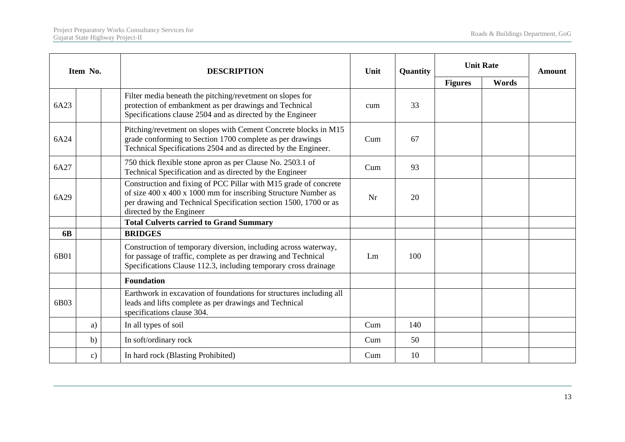|           | Item No.      | <b>DESCRIPTION</b>                                                                                                                                                                                                                 | Unit | Quantity |                |                           | <b>Amount</b> |
|-----------|---------------|------------------------------------------------------------------------------------------------------------------------------------------------------------------------------------------------------------------------------------|------|----------|----------------|---------------------------|---------------|
|           |               |                                                                                                                                                                                                                                    |      |          | <b>Figures</b> | <b>Unit Rate</b><br>Words |               |
| 6A23      |               | Filter media beneath the pitching/revetment on slopes for<br>protection of embankment as per drawings and Technical<br>Specifications clause 2504 and as directed by the Engineer                                                  | cum  | 33       |                |                           |               |
| 6A24      |               | Pitching/revetment on slopes with Cement Concrete blocks in M15<br>grade conforming to Section 1700 complete as per drawings<br>Technical Specifications 2504 and as directed by the Engineer.                                     | Cum  | 67       |                |                           |               |
| 6A27      |               | 750 thick flexible stone apron as per Clause No. 2503.1 of<br>Technical Specification and as directed by the Engineer                                                                                                              | Cum  | 93       |                |                           |               |
| 6A29      |               | Construction and fixing of PCC Pillar with M15 grade of concrete<br>of size 400 x 400 x 1000 mm for inscribing Structure Number as<br>per drawing and Technical Specification section 1500, 1700 or as<br>directed by the Engineer | Nr   | 20       |                |                           |               |
|           |               | <b>Total Culverts carried to Grand Summary</b>                                                                                                                                                                                     |      |          |                |                           |               |
| <b>6B</b> |               | <b>BRIDGES</b>                                                                                                                                                                                                                     |      |          |                |                           |               |
| 6B01      |               | Construction of temporary diversion, including across waterway,<br>for passage of traffic, complete as per drawing and Technical<br>Specifications Clause 112.3, including temporary cross drainage                                | Lm   | 100      |                |                           |               |
|           |               | <b>Foundation</b>                                                                                                                                                                                                                  |      |          |                |                           |               |
| 6B03      |               | Earthwork in excavation of foundations for structures including all<br>leads and lifts complete as per drawings and Technical<br>specifications clause 304.                                                                        |      |          |                |                           |               |
|           | a)            | In all types of soil                                                                                                                                                                                                               | Cum  | 140      |                |                           |               |
|           | b)            | In soft/ordinary rock                                                                                                                                                                                                              | Cum  | 50       |                |                           |               |
|           | $\mathbf{c})$ | In hard rock (Blasting Prohibited)                                                                                                                                                                                                 | Cum  | 10       |                |                           |               |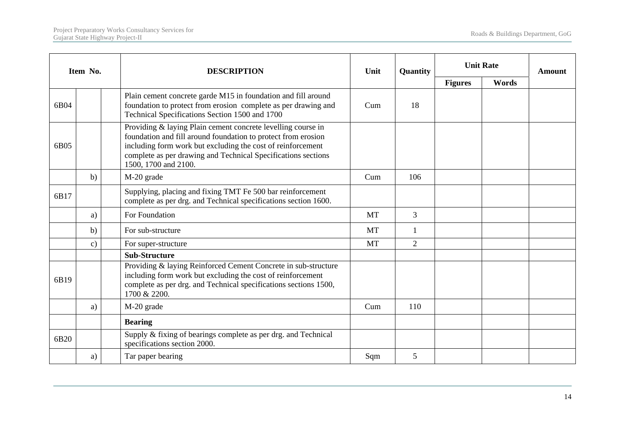|      | Item No.      | <b>DESCRIPTION</b>                                                                                                                                                                                                                                                                    | Unit      | Quantity       |                | <b>Unit Rate</b> | <b>Amount</b> |
|------|---------------|---------------------------------------------------------------------------------------------------------------------------------------------------------------------------------------------------------------------------------------------------------------------------------------|-----------|----------------|----------------|------------------|---------------|
|      |               |                                                                                                                                                                                                                                                                                       |           |                | <b>Figures</b> | Words            |               |
| 6B04 |               | Plain cement concrete garde M15 in foundation and fill around<br>foundation to protect from erosion complete as per drawing and<br>Technical Specifications Section 1500 and 1700                                                                                                     | Cum       | 18             |                |                  |               |
| 6B05 |               | Providing & laying Plain cement concrete levelling course in<br>foundation and fill around foundation to protect from erosion<br>including form work but excluding the cost of reinforcement<br>complete as per drawing and Technical Specifications sections<br>1500, 1700 and 2100. |           |                |                |                  |               |
|      | b)            | M-20 grade                                                                                                                                                                                                                                                                            | Cum       | 106            |                |                  |               |
| 6B17 |               | Supplying, placing and fixing TMT Fe 500 bar reinforcement<br>complete as per drg. and Technical specifications section 1600.                                                                                                                                                         |           |                |                |                  |               |
|      | a)            | For Foundation                                                                                                                                                                                                                                                                        | MT        | 3              |                |                  |               |
|      | b)            | For sub-structure                                                                                                                                                                                                                                                                     | <b>MT</b> | 1              |                |                  |               |
|      | $\mathbf{c})$ | For super-structure                                                                                                                                                                                                                                                                   | <b>MT</b> | $\overline{2}$ |                |                  |               |
|      |               | <b>Sub-Structure</b>                                                                                                                                                                                                                                                                  |           |                |                |                  |               |
| 6B19 |               | Providing & laying Reinforced Cement Concrete in sub-structure<br>including form work but excluding the cost of reinforcement<br>complete as per drg. and Technical specifications sections 1500,<br>1700 & 2200.                                                                     |           |                |                |                  |               |
|      | a)            | M-20 grade                                                                                                                                                                                                                                                                            | Cum       | 110            |                |                  |               |
|      |               | <b>Bearing</b>                                                                                                                                                                                                                                                                        |           |                |                |                  |               |
| 6B20 |               | Supply & fixing of bearings complete as per drg. and Technical<br>specifications section 2000.                                                                                                                                                                                        |           |                |                |                  |               |
|      | a)            | Tar paper bearing                                                                                                                                                                                                                                                                     | Sqm       | 5              |                |                  |               |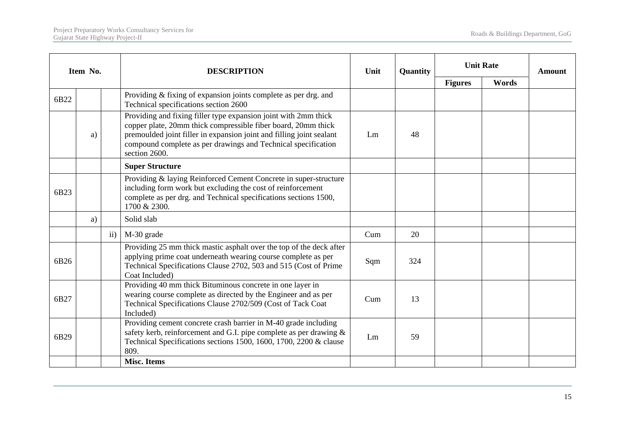|      | Item No. |               | <b>DESCRIPTION</b>                                                                                                                                                                                                                                                                         | Unit | Quantity | <b>Unit Rate</b> |       | <b>Amount</b> |
|------|----------|---------------|--------------------------------------------------------------------------------------------------------------------------------------------------------------------------------------------------------------------------------------------------------------------------------------------|------|----------|------------------|-------|---------------|
|      |          |               |                                                                                                                                                                                                                                                                                            |      |          | <b>Figures</b>   | Words |               |
| 6B22 |          |               | Providing & fixing of expansion joints complete as per drg. and<br>Technical specifications section 2600                                                                                                                                                                                   |      |          |                  |       |               |
|      | a)       |               | Providing and fixing filler type expansion joint with 2mm thick<br>copper plate, 20mm thick compressible fiber board, 20mm thick<br>premoulded joint filler in expansion joint and filling joint sealant<br>compound complete as per drawings and Technical specification<br>section 2600. | Lm   | 48       |                  |       |               |
|      |          |               | <b>Super Structure</b>                                                                                                                                                                                                                                                                     |      |          |                  |       |               |
| 6B23 |          |               | Providing & laying Reinforced Cement Concrete in super-structure<br>including form work but excluding the cost of reinforcement<br>complete as per drg. and Technical specifications sections 1500,<br>1700 & 2300.                                                                        |      |          |                  |       |               |
|      | a)       |               | Solid slab                                                                                                                                                                                                                                                                                 |      |          |                  |       |               |
|      |          | $\mathbf{ii}$ | M-30 grade                                                                                                                                                                                                                                                                                 | Cum  | 20       |                  |       |               |
| 6B26 |          |               | Providing 25 mm thick mastic asphalt over the top of the deck after<br>applying prime coat underneath wearing course complete as per<br>Technical Specifications Clause 2702, 503 and 515 (Cost of Prime<br>Coat Included)                                                                 | Sqm  | 324      |                  |       |               |
| 6B27 |          |               | Providing 40 mm thick Bituminous concrete in one layer in<br>wearing course complete as directed by the Engineer and as per<br>Technical Specifications Clause 2702/509 (Cost of Tack Coat<br>Included)                                                                                    | Cum  | 13       |                  |       |               |
| 6B29 |          |               | Providing cement concrete crash barrier in M-40 grade including<br>safety kerb, reinforcement and G.I. pipe complete as per drawing &<br>Technical Specifications sections 1500, 1600, 1700, 2200 & clause<br>809.                                                                         | Lm   | 59       |                  |       |               |
|      |          |               | <b>Misc. Items</b>                                                                                                                                                                                                                                                                         |      |          |                  |       |               |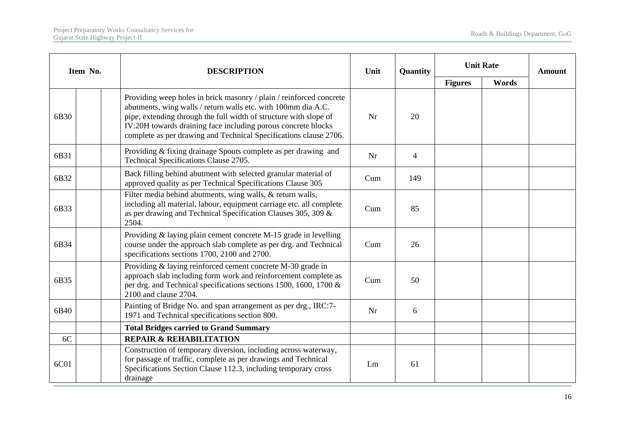| Item No. | <b>DESCRIPTION</b>                                                                                                                                                                                                                                                                                                                              | Unit | Quantity       | <b>Unit Rate</b> |       | <b>Amount</b> |
|----------|-------------------------------------------------------------------------------------------------------------------------------------------------------------------------------------------------------------------------------------------------------------------------------------------------------------------------------------------------|------|----------------|------------------|-------|---------------|
|          |                                                                                                                                                                                                                                                                                                                                                 |      |                | <b>Figures</b>   | Words |               |
| 6B30     | Providing weep holes in brick masonry / plain / reinforced concrete<br>abutments, wing walls / return walls etc. with 100mm dia A.C.<br>pipe, extending through the full width of structure with slope of<br>IV:20H towards draining face including porous concrete blocks<br>complete as per drawing and Technical Specifications clause 2706. | Nr   | 20             |                  |       |               |
| 6B31     | Providing & fixing drainage Spouts complete as per drawing and<br>Technical Specifications Clause 2705.                                                                                                                                                                                                                                         | Nr   | $\overline{4}$ |                  |       |               |
| 6B32     | Back filling behind abutment with selected granular material of<br>approved quality as per Technical Specifications Clause 305                                                                                                                                                                                                                  | Cum  | 149            |                  |       |               |
| 6B33     | Filter media behind abutments, wing walls, & return walls,<br>including all material, labour, equipment carriage etc. all complete<br>as per drawing and Technical Specification Clauses 305, 309 &<br>2504.                                                                                                                                    | Cum  | 85             |                  |       |               |
| 6B34     | Providing & laying plain cement concrete M-15 grade in levelling<br>course under the approach slab complete as per drg. and Technical<br>specifications sections 1700, 2100 and 2700.                                                                                                                                                           | Cum  | 26             |                  |       |               |
| 6B35     | Providing & laying reinforced cement concrete M-30 grade in<br>approach slab including form work and reinforcement complete as<br>per drg. and Technical specifications sections 1500, 1600, 1700 &<br>2100 and clause 2704.                                                                                                                    | Cum  | 50             |                  |       |               |
| 6B40     | Painting of Bridge No. and span arrangement as per drg., IRC:7-<br>1971 and Technical specifications section 800.                                                                                                                                                                                                                               | Nr   | 6              |                  |       |               |
|          | <b>Total Bridges carried to Grand Summary</b>                                                                                                                                                                                                                                                                                                   |      |                |                  |       |               |
| 6C       | <b>REPAIR &amp; REHABILITATION</b>                                                                                                                                                                                                                                                                                                              |      |                |                  |       |               |
| 6C01     | Construction of temporary diversion, including across waterway,<br>for passage of traffic, complete as per drawings and Technical<br>Specifications Section Clause 112.3, including temporary cross<br>drainage                                                                                                                                 | Lm   | 61             |                  |       |               |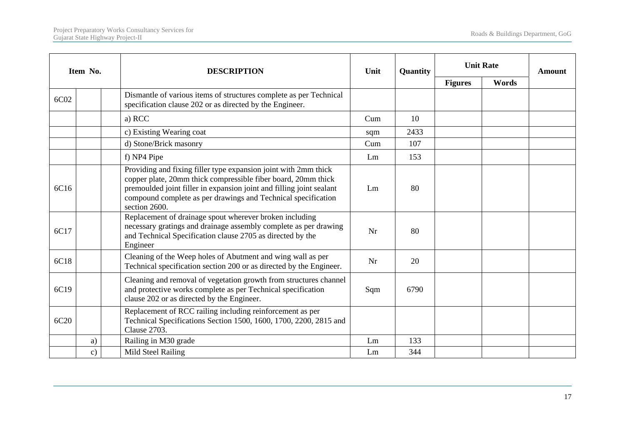|      | Item No.      | <b>DESCRIPTION</b>                                                                                                                                                                                                                                                                         | Unit | Quantity | <b>Unit Rate</b> | <b>Amount</b> |  |
|------|---------------|--------------------------------------------------------------------------------------------------------------------------------------------------------------------------------------------------------------------------------------------------------------------------------------------|------|----------|------------------|---------------|--|
|      |               |                                                                                                                                                                                                                                                                                            |      |          | <b>Figures</b>   | Words         |  |
| 6C02 |               | Dismantle of various items of structures complete as per Technical<br>specification clause 202 or as directed by the Engineer.                                                                                                                                                             |      |          |                  |               |  |
|      |               | a) RCC                                                                                                                                                                                                                                                                                     | Cum  | 10       |                  |               |  |
|      |               | c) Existing Wearing coat                                                                                                                                                                                                                                                                   | sqm  | 2433     |                  |               |  |
|      |               | d) Stone/Brick masonry                                                                                                                                                                                                                                                                     | Cum  | 107      |                  |               |  |
|      |               | f) NP4 Pipe                                                                                                                                                                                                                                                                                | Lm   | 153      |                  |               |  |
| 6C16 |               | Providing and fixing filler type expansion joint with 2mm thick<br>copper plate, 20mm thick compressible fiber board, 20mm thick<br>premoulded joint filler in expansion joint and filling joint sealant<br>compound complete as per drawings and Technical specification<br>section 2600. | Lm   | 80       |                  |               |  |
| 6C17 |               | Replacement of drainage spout wherever broken including<br>necessary gratings and drainage assembly complete as per drawing<br>and Technical Specification clause 2705 as directed by the<br>Engineer                                                                                      | Nr   | 80       |                  |               |  |
| 6C18 |               | Cleaning of the Weep holes of Abutment and wing wall as per<br>Technical specification section 200 or as directed by the Engineer.                                                                                                                                                         | Nr   | 20       |                  |               |  |
| 6C19 |               | Cleaning and removal of vegetation growth from structures channel<br>and protective works complete as per Technical specification<br>clause 202 or as directed by the Engineer.                                                                                                            | Sqm  | 6790     |                  |               |  |
| 6C20 |               | Replacement of RCC railing including reinforcement as per<br>Technical Specifications Section 1500, 1600, 1700, 2200, 2815 and<br>Clause 2703.                                                                                                                                             |      |          |                  |               |  |
|      | a)            | Railing in M30 grade                                                                                                                                                                                                                                                                       | Lm   | 133      |                  |               |  |
|      | $\mathbf{c})$ | Mild Steel Railing                                                                                                                                                                                                                                                                         | Lm   | 344      |                  |               |  |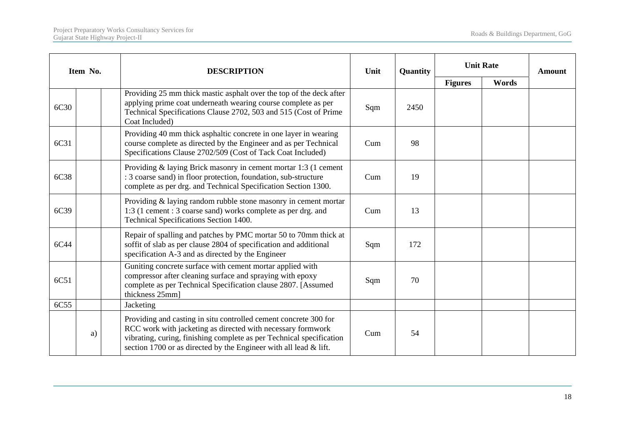| Item No. |    | <b>DESCRIPTION</b>                                                                                                                                                                                                                                                           | Unit | Quantity | <b>Unit Rate</b>        |  | <b>Amount</b> |
|----------|----|------------------------------------------------------------------------------------------------------------------------------------------------------------------------------------------------------------------------------------------------------------------------------|------|----------|-------------------------|--|---------------|
|          |    |                                                                                                                                                                                                                                                                              |      |          | <b>Figures</b><br>Words |  |               |
| 6C30     |    | Providing 25 mm thick mastic asphalt over the top of the deck after<br>applying prime coat underneath wearing course complete as per<br>Technical Specifications Clause 2702, 503 and 515 (Cost of Prime<br>Coat Included)                                                   | Sqm  | 2450     |                         |  |               |
| 6C31     |    | Providing 40 mm thick asphaltic concrete in one layer in wearing<br>course complete as directed by the Engineer and as per Technical<br>Specifications Clause 2702/509 (Cost of Tack Coat Included)                                                                          | Cum  | 98       |                         |  |               |
| 6C38     |    | Providing & laying Brick masonry in cement mortar 1:3 (1 cement<br>: 3 coarse sand) in floor protection, foundation, sub-structure<br>complete as per drg. and Technical Specification Section 1300.                                                                         | Cum  | 19       |                         |  |               |
| 6C39     |    | Providing & laying random rubble stone masonry in cement mortar<br>1:3 (1 cement : 3 coarse sand) works complete as per drg. and<br>Technical Specifications Section 1400.                                                                                                   | Cum  | 13       |                         |  |               |
| 6C44     |    | Repair of spalling and patches by PMC mortar 50 to 70mm thick at<br>soffit of slab as per clause 2804 of specification and additional<br>specification A-3 and as directed by the Engineer                                                                                   | Sqm  | 172      |                         |  |               |
| 6C51     |    | Guniting concrete surface with cement mortar applied with<br>compressor after cleaning surface and spraying with epoxy<br>complete as per Technical Specification clause 2807. [Assumed<br>thickness 25mm]                                                                   | Sqm  | 70       |                         |  |               |
| 6C55     |    | Jacketing                                                                                                                                                                                                                                                                    |      |          |                         |  |               |
|          | a) | Providing and casting in situ controlled cement concrete 300 for<br>RCC work with jacketing as directed with necessary formwork<br>vibrating, curing, finishing complete as per Technical specification<br>section 1700 or as directed by the Engineer with all lead & lift. | Cum  | 54       |                         |  |               |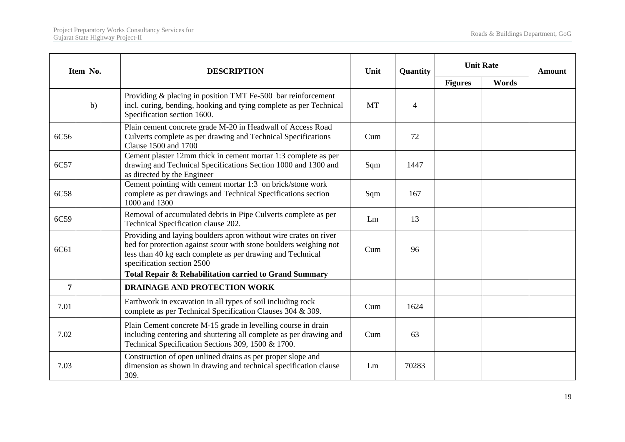|      | Item No. | <b>DESCRIPTION</b>                                                                                                                                                                                                                | Unit | Quantity       | <b>Unit Rate</b> |       | <b>Amount</b> |
|------|----------|-----------------------------------------------------------------------------------------------------------------------------------------------------------------------------------------------------------------------------------|------|----------------|------------------|-------|---------------|
|      |          |                                                                                                                                                                                                                                   |      |                | <b>Figures</b>   | Words |               |
|      | b)       | Providing & placing in position TMT Fe-500 bar reinforcement<br>incl. curing, bending, hooking and tying complete as per Technical<br>Specification section 1600.                                                                 | MT   | $\overline{4}$ |                  |       |               |
| 6C56 |          | Plain cement concrete grade M-20 in Headwall of Access Road<br>Culverts complete as per drawing and Technical Specifications<br>Clause 1500 and 1700                                                                              | Cum  | 72             |                  |       |               |
| 6C57 |          | Cement plaster 12mm thick in cement mortar 1:3 complete as per<br>drawing and Technical Specifications Section 1000 and 1300 and<br>as directed by the Engineer                                                                   | Sqm  | 1447           |                  |       |               |
| 6C58 |          | Cement pointing with cement mortar 1:3 on brick/stone work<br>complete as per drawings and Technical Specifications section<br>1000 and 1300                                                                                      | Sqm  | 167            |                  |       |               |
| 6C59 |          | Removal of accumulated debris in Pipe Culverts complete as per<br>Technical Specification clause 202.                                                                                                                             | Lm   | 13             |                  |       |               |
| 6C61 |          | Providing and laying boulders apron without wire crates on river<br>bed for protection against scour with stone boulders weighing not<br>less than 40 kg each complete as per drawing and Technical<br>specification section 2500 | Cum  | 96             |                  |       |               |
|      |          | Total Repair & Rehabilitation carried to Grand Summary                                                                                                                                                                            |      |                |                  |       |               |
| 7    |          | <b>DRAINAGE AND PROTECTION WORK</b>                                                                                                                                                                                               |      |                |                  |       |               |
| 7.01 |          | Earthwork in excavation in all types of soil including rock<br>complete as per Technical Specification Clauses 304 & 309.                                                                                                         | Cum  | 1624           |                  |       |               |
| 7.02 |          | Plain Cement concrete M-15 grade in levelling course in drain<br>including centering and shuttering all complete as per drawing and<br>Technical Specification Sections 309, 1500 & 1700.                                         | Cum  | 63             |                  |       |               |
| 7.03 |          | Construction of open unlined drains as per proper slope and<br>dimension as shown in drawing and technical specification clause<br>309.                                                                                           | Lm   | 70283          |                  |       |               |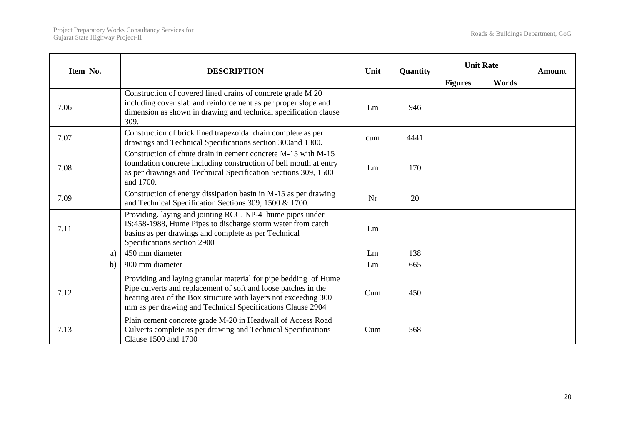|      | Item No. | <b>DESCRIPTION</b>                                                                                                                                                                                                                                                 | Unit | Quantity | <b>Unit Rate</b> |       | <b>Amount</b> |
|------|----------|--------------------------------------------------------------------------------------------------------------------------------------------------------------------------------------------------------------------------------------------------------------------|------|----------|------------------|-------|---------------|
|      |          |                                                                                                                                                                                                                                                                    |      |          | <b>Figures</b>   | Words |               |
| 7.06 |          | Construction of covered lined drains of concrete grade M 20<br>including cover slab and reinforcement as per proper slope and<br>dimension as shown in drawing and technical specification clause<br>309.                                                          | Lm   | 946      |                  |       |               |
| 7.07 |          | Construction of brick lined trapezoidal drain complete as per<br>drawings and Technical Specifications section 300and 1300.                                                                                                                                        | cum  | 4441     |                  |       |               |
| 7.08 |          | Construction of chute drain in cement concrete M-15 with M-15<br>foundation concrete including construction of bell mouth at entry<br>as per drawings and Technical Specification Sections 309, 1500<br>and 1700.                                                  | Lm   | 170      |                  |       |               |
| 7.09 |          | Construction of energy dissipation basin in M-15 as per drawing<br>and Technical Specification Sections 309, 1500 & 1700.                                                                                                                                          | Nr   | 20       |                  |       |               |
| 7.11 |          | Providing. laying and jointing RCC. NP-4 hume pipes under<br>IS:458-1988, Hume Pipes to discharge storm water from catch<br>basins as per drawings and complete as per Technical<br>Specifications section 2900                                                    | Lm   |          |                  |       |               |
|      | a)       | 450 mm diameter                                                                                                                                                                                                                                                    | Lm   | 138      |                  |       |               |
|      | b)       | 900 mm diameter                                                                                                                                                                                                                                                    | Lm   | 665      |                  |       |               |
| 7.12 |          | Providing and laying granular material for pipe bedding of Hume<br>Pipe culverts and replacement of soft and loose patches in the<br>bearing area of the Box structure with layers not exceeding 300<br>mm as per drawing and Technical Specifications Clause 2904 | Cum  | 450      |                  |       |               |
| 7.13 |          | Plain cement concrete grade M-20 in Headwall of Access Road<br>Culverts complete as per drawing and Technical Specifications<br>Clause 1500 and 1700                                                                                                               | Cum  | 568      |                  |       |               |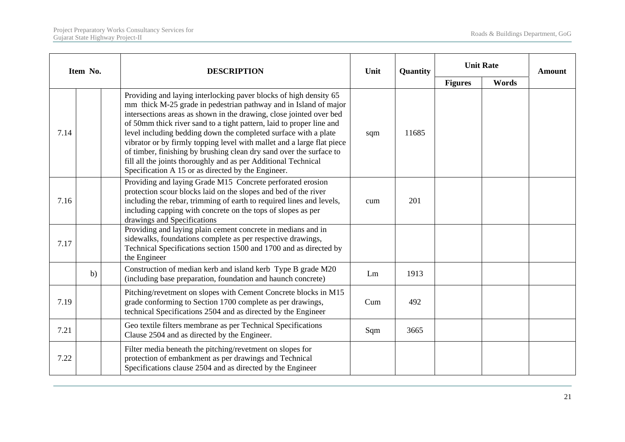|      | Item No. | <b>DESCRIPTION</b>                                                                                                                                                                                                                                                                                                                                                                                                                                                                                                                                                                                                               | Unit | Quantity | <b>Unit Rate</b> |       | Amount |
|------|----------|----------------------------------------------------------------------------------------------------------------------------------------------------------------------------------------------------------------------------------------------------------------------------------------------------------------------------------------------------------------------------------------------------------------------------------------------------------------------------------------------------------------------------------------------------------------------------------------------------------------------------------|------|----------|------------------|-------|--------|
|      |          |                                                                                                                                                                                                                                                                                                                                                                                                                                                                                                                                                                                                                                  |      |          | <b>Figures</b>   | Words |        |
| 7.14 |          | Providing and laying interlocking paver blocks of high density 65<br>mm thick M-25 grade in pedestrian pathway and in Island of major<br>intersections areas as shown in the drawing, close jointed over bed<br>of 50mm thick river sand to a tight pattern, laid to proper line and<br>level including bedding down the completed surface with a plate<br>vibrator or by firmly topping level with mallet and a large flat piece<br>of timber, finishing by brushing clean dry sand over the surface to<br>fill all the joints thoroughly and as per Additional Technical<br>Specification A 15 or as directed by the Engineer. | sqm  | 11685    |                  |       |        |
| 7.16 |          | Providing and laying Grade M15 Concrete perforated erosion<br>protection scour blocks laid on the slopes and bed of the river<br>including the rebar, trimming of earth to required lines and levels,<br>including capping with concrete on the tops of slopes as per<br>drawings and Specifications                                                                                                                                                                                                                                                                                                                             | cum  | 201      |                  |       |        |
| 7.17 |          | Providing and laying plain cement concrete in medians and in<br>sidewalks, foundations complete as per respective drawings,<br>Technical Specifications section 1500 and 1700 and as directed by<br>the Engineer                                                                                                                                                                                                                                                                                                                                                                                                                 |      |          |                  |       |        |
|      | b)       | Construction of median kerb and island kerb Type B grade M20<br>(including base preparation, foundation and haunch concrete)                                                                                                                                                                                                                                                                                                                                                                                                                                                                                                     | Lm   | 1913     |                  |       |        |
| 7.19 |          | Pitching/revetment on slopes with Cement Concrete blocks in M15<br>grade conforming to Section 1700 complete as per drawings,<br>technical Specifications 2504 and as directed by the Engineer                                                                                                                                                                                                                                                                                                                                                                                                                                   | Cum  | 492      |                  |       |        |
| 7.21 |          | Geo textile filters membrane as per Technical Specifications<br>Clause 2504 and as directed by the Engineer.                                                                                                                                                                                                                                                                                                                                                                                                                                                                                                                     | Sqm  | 3665     |                  |       |        |
| 7.22 |          | Filter media beneath the pitching/revetment on slopes for<br>protection of embankment as per drawings and Technical<br>Specifications clause 2504 and as directed by the Engineer                                                                                                                                                                                                                                                                                                                                                                                                                                                |      |          |                  |       |        |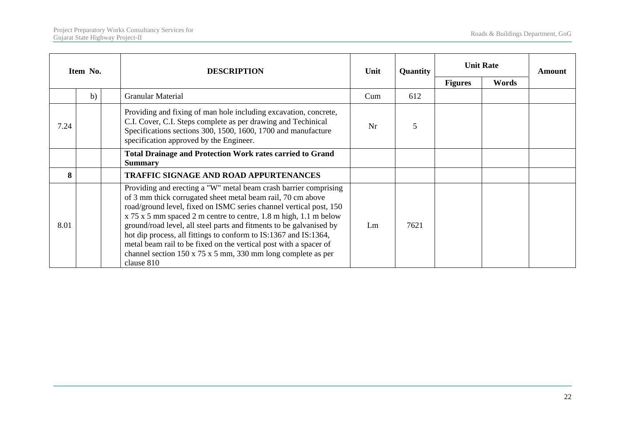| Item No. |    | <b>DESCRIPTION</b>                                                                                                                                                                                                                                                                                                                                                                                                                                                                                                                                                                  | Unit | Quantity | <b>Unit Rate</b> |       | Amount |
|----------|----|-------------------------------------------------------------------------------------------------------------------------------------------------------------------------------------------------------------------------------------------------------------------------------------------------------------------------------------------------------------------------------------------------------------------------------------------------------------------------------------------------------------------------------------------------------------------------------------|------|----------|------------------|-------|--------|
|          |    |                                                                                                                                                                                                                                                                                                                                                                                                                                                                                                                                                                                     |      |          | <b>Figures</b>   | Words |        |
|          | b) | <b>Granular Material</b>                                                                                                                                                                                                                                                                                                                                                                                                                                                                                                                                                            | Cum  | 612      |                  |       |        |
| 7.24     |    | Providing and fixing of man hole including excavation, concrete,<br>C.I. Cover, C.I. Steps complete as per drawing and Techinical<br>Specifications sections 300, 1500, 1600, 1700 and manufacture<br>specification approved by the Engineer.                                                                                                                                                                                                                                                                                                                                       | Nr   | 5        |                  |       |        |
|          |    | <b>Total Drainage and Protection Work rates carried to Grand</b><br><b>Summary</b>                                                                                                                                                                                                                                                                                                                                                                                                                                                                                                  |      |          |                  |       |        |
| 8        |    | <b>TRAFFIC SIGNAGE AND ROAD APPURTENANCES</b>                                                                                                                                                                                                                                                                                                                                                                                                                                                                                                                                       |      |          |                  |       |        |
| 8.01     |    | Providing and erecting a "W" metal beam crash barrier comprising<br>of 3 mm thick corrugated sheet metal beam rail, 70 cm above<br>road/ground level, fixed on ISMC series channel vertical post, 150<br>x 75 x 5 mm spaced 2 m centre to centre, 1.8 m high, 1.1 m below<br>ground/road level, all steel parts and fitments to be galvanised by<br>hot dip process, all fittings to conform to IS:1367 and IS:1364,<br>metal beam rail to be fixed on the vertical post with a spacer of<br>channel section $150 \times 75 \times 5$ mm, 330 mm long complete as per<br>clause 810 | Lm   | 7621     |                  |       |        |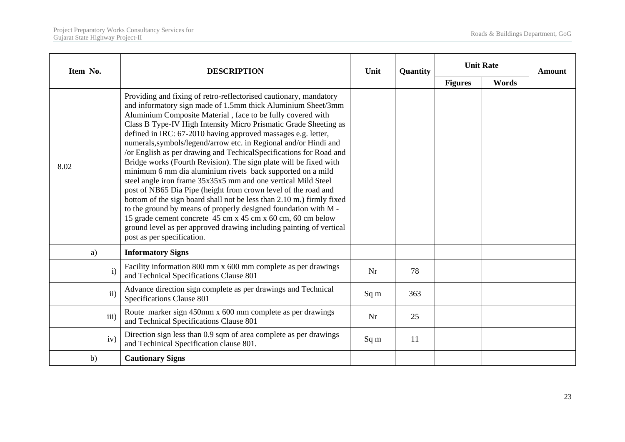|      | Item No. |               | <b>DESCRIPTION</b>                                                                                                                                                                                                                                                                                                                                                                                                                                                                                                                                                                                                                                                                                                                                                                                                                                                                                                                                                                                                                                                    | Unit | Quantity | <b>Unit Rate</b> |       | Amount |
|------|----------|---------------|-----------------------------------------------------------------------------------------------------------------------------------------------------------------------------------------------------------------------------------------------------------------------------------------------------------------------------------------------------------------------------------------------------------------------------------------------------------------------------------------------------------------------------------------------------------------------------------------------------------------------------------------------------------------------------------------------------------------------------------------------------------------------------------------------------------------------------------------------------------------------------------------------------------------------------------------------------------------------------------------------------------------------------------------------------------------------|------|----------|------------------|-------|--------|
|      |          |               |                                                                                                                                                                                                                                                                                                                                                                                                                                                                                                                                                                                                                                                                                                                                                                                                                                                                                                                                                                                                                                                                       |      |          | <b>Figures</b>   | Words |        |
| 8.02 |          |               | Providing and fixing of retro-reflectorised cautionary, mandatory<br>and informatory sign made of 1.5mm thick Aluminium Sheet/3mm<br>Aluminium Composite Material, face to be fully covered with<br>Class B Type-IV High Intensity Micro Prismatic Grade Sheeting as<br>defined in IRC: 67-2010 having approved massages e.g. letter,<br>numerals, symbols/legend/arrow etc. in Regional and/or Hindi and<br>/or English as per drawing and TechicalSpecifications for Road and<br>Bridge works (Fourth Revision). The sign plate will be fixed with<br>minimum 6 mm dia aluminium rivets back supported on a mild<br>steel angle iron frame 35x35x5 mm and one vertical Mild Steel<br>post of NB65 Dia Pipe (height from crown level of the road and<br>bottom of the sign board shall not be less than 2.10 m.) firmly fixed<br>to the ground by means of properly designed foundation with M -<br>15 grade cement concrete 45 cm x 45 cm x 60 cm, 60 cm below<br>ground level as per approved drawing including painting of vertical<br>post as per specification. |      |          |                  |       |        |
|      | a)       |               | <b>Informatory Signs</b>                                                                                                                                                                                                                                                                                                                                                                                                                                                                                                                                                                                                                                                                                                                                                                                                                                                                                                                                                                                                                                              |      |          |                  |       |        |
|      |          | $\mathbf{i}$  | Facility information 800 mm x 600 mm complete as per drawings<br>and Technical Specifications Clause 801                                                                                                                                                                                                                                                                                                                                                                                                                                                                                                                                                                                                                                                                                                                                                                                                                                                                                                                                                              | Nr   | 78       |                  |       |        |
|      |          | $\mathbf{ii}$ | Advance direction sign complete as per drawings and Technical<br>Specifications Clause 801                                                                                                                                                                                                                                                                                                                                                                                                                                                                                                                                                                                                                                                                                                                                                                                                                                                                                                                                                                            | Sq m | 363      |                  |       |        |
|      |          | iii)          | Route marker sign 450mm x 600 mm complete as per drawings<br>and Technical Specifications Clause 801                                                                                                                                                                                                                                                                                                                                                                                                                                                                                                                                                                                                                                                                                                                                                                                                                                                                                                                                                                  | Nr   | 25       |                  |       |        |
|      |          | iv)           | Direction sign less than 0.9 sqm of area complete as per drawings<br>and Techinical Specification clause 801.                                                                                                                                                                                                                                                                                                                                                                                                                                                                                                                                                                                                                                                                                                                                                                                                                                                                                                                                                         | Sq m | 11       |                  |       |        |
|      | b)       |               | <b>Cautionary Signs</b>                                                                                                                                                                                                                                                                                                                                                                                                                                                                                                                                                                                                                                                                                                                                                                                                                                                                                                                                                                                                                                               |      |          |                  |       |        |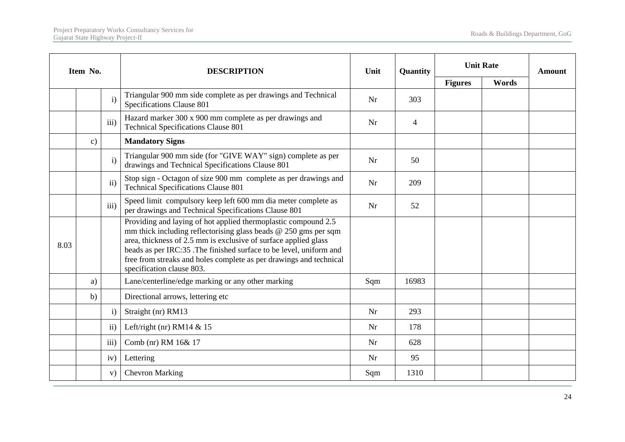|      | Item No.      |                  | <b>DESCRIPTION</b>                                                                                                                                                                                                                                                                                                                                                              | Unit | Quantity       | <b>Unit Rate</b> |       | Amount |
|------|---------------|------------------|---------------------------------------------------------------------------------------------------------------------------------------------------------------------------------------------------------------------------------------------------------------------------------------------------------------------------------------------------------------------------------|------|----------------|------------------|-------|--------|
|      |               |                  |                                                                                                                                                                                                                                                                                                                                                                                 |      |                | <b>Figures</b>   | Words |        |
|      |               | $\mathbf{i}$     | Triangular 900 mm side complete as per drawings and Technical<br>Specifications Clause 801                                                                                                                                                                                                                                                                                      | Nr   | 303            |                  |       |        |
|      |               | iii)             | Hazard marker 300 x 900 mm complete as per drawings and<br><b>Technical Specifications Clause 801</b>                                                                                                                                                                                                                                                                           | Nr   | $\overline{4}$ |                  |       |        |
|      | $\mathbf{c})$ |                  | <b>Mandatory Signs</b>                                                                                                                                                                                                                                                                                                                                                          |      |                |                  |       |        |
|      |               | $\mathbf{i}$     | Triangular 900 mm side (for "GIVE WAY" sign) complete as per<br>drawings and Technical Specifications Clause 801                                                                                                                                                                                                                                                                | Nr   | 50             |                  |       |        |
|      |               | $\mathbf{ii}$    | Stop sign - Octagon of size 900 mm complete as per drawings and<br><b>Technical Specifications Clause 801</b>                                                                                                                                                                                                                                                                   | Nr   | 209            |                  |       |        |
|      |               | iii)             | Speed limit compulsory keep left 600 mm dia meter complete as<br>per drawings and Technical Specifications Clause 801                                                                                                                                                                                                                                                           | Nr   | 52             |                  |       |        |
| 8.03 |               |                  | Providing and laying of hot applied thermoplastic compound 2.5<br>mm thick including reflectorising glass beads $@$ 250 gms per sqm<br>area, thickness of 2.5 mm is exclusive of surface applied glass<br>beads as per IRC:35 .The finished surface to be level, uniform and<br>free from streaks and holes complete as per drawings and technical<br>specification clause 803. |      |                |                  |       |        |
|      | a)            |                  | Lane/centerline/edge marking or any other marking                                                                                                                                                                                                                                                                                                                               | Sqm  | 16983          |                  |       |        |
|      | b)            |                  | Directional arrows, lettering etc                                                                                                                                                                                                                                                                                                                                               |      |                |                  |       |        |
|      |               | $\mathbf{i}$     | Straight (nr) RM13                                                                                                                                                                                                                                                                                                                                                              | Nr   | 293            |                  |       |        |
|      |               | ii)              | Left/right (nr) RM14 $&$ 15                                                                                                                                                                                                                                                                                                                                                     | Nr   | 178            |                  |       |        |
|      |               | $\overline{111}$ | Comb (nr) RM 16& 17                                                                                                                                                                                                                                                                                                                                                             | Nr   | 628            |                  |       |        |
|      |               | iv)              | Lettering                                                                                                                                                                                                                                                                                                                                                                       | Nr   | 95             |                  |       |        |
|      |               | V)               | <b>Chevron Marking</b>                                                                                                                                                                                                                                                                                                                                                          | Sqm  | 1310           |                  |       |        |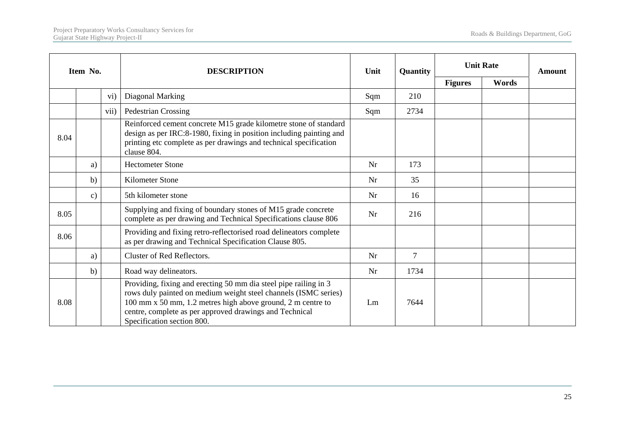|      | Item No.      |                 | <b>DESCRIPTION</b>                                                                                                                                                                                                                                                                          | Unit | Quantity       | <b>Unit Rate</b> |       | Amount |
|------|---------------|-----------------|---------------------------------------------------------------------------------------------------------------------------------------------------------------------------------------------------------------------------------------------------------------------------------------------|------|----------------|------------------|-------|--------|
|      |               |                 |                                                                                                                                                                                                                                                                                             |      |                | <b>Figures</b>   | Words |        |
|      |               | $\overline{vi}$ | Diagonal Marking                                                                                                                                                                                                                                                                            | Sqm  | 210            |                  |       |        |
|      |               | vii)            | Pedestrian Crossing                                                                                                                                                                                                                                                                         | Sqm  | 2734           |                  |       |        |
| 8.04 |               |                 | Reinforced cement concrete M15 grade kilometre stone of standard<br>design as per IRC:8-1980, fixing in position including painting and<br>printing etc complete as per drawings and technical specification<br>clause 804.                                                                 |      |                |                  |       |        |
|      | a)            |                 | <b>Hectometer Stone</b>                                                                                                                                                                                                                                                                     | Nr   | 173            |                  |       |        |
|      | b)            |                 | Kilometer Stone                                                                                                                                                                                                                                                                             | Nr   | 35             |                  |       |        |
|      | $\mathbf{c})$ |                 | 5th kilometer stone                                                                                                                                                                                                                                                                         | Nr   | 16             |                  |       |        |
| 8.05 |               |                 | Supplying and fixing of boundary stones of M15 grade concrete<br>complete as per drawing and Technical Specifications clause 806                                                                                                                                                            | Nr   | 216            |                  |       |        |
| 8.06 |               |                 | Providing and fixing retro-reflectorised road delineators complete<br>as per drawing and Technical Specification Clause 805.                                                                                                                                                                |      |                |                  |       |        |
|      | a)            |                 | Cluster of Red Reflectors.                                                                                                                                                                                                                                                                  | Nr   | $\overline{7}$ |                  |       |        |
|      | b)            |                 | Road way delineators.                                                                                                                                                                                                                                                                       | Nr   | 1734           |                  |       |        |
| 8.08 |               |                 | Providing, fixing and erecting 50 mm dia steel pipe railing in 3<br>rows duly painted on medium weight steel channels (ISMC series)<br>100 mm x 50 mm, 1.2 metres high above ground, 2 m centre to<br>centre, complete as per approved drawings and Technical<br>Specification section 800. | Lm   | 7644           |                  |       |        |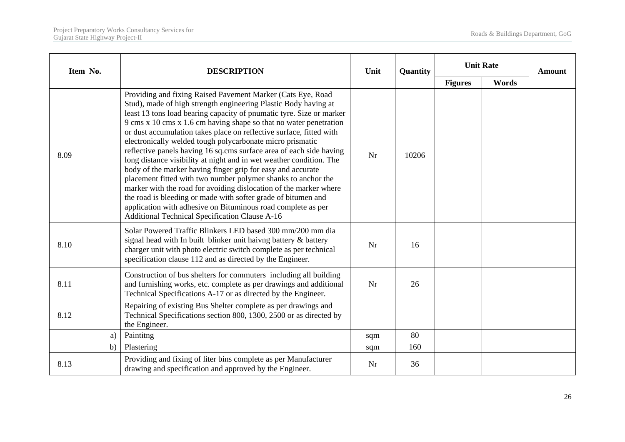|      | Item No. | <b>DESCRIPTION</b>                                                                                                                                                                                                                                                                                                                                                                                                                                                                                                                                                                                                                                                                                                                                                                                                                                                                                                                                           | Unit | Quantity | <b>Unit Rate</b> |       | <b>Amount</b> |
|------|----------|--------------------------------------------------------------------------------------------------------------------------------------------------------------------------------------------------------------------------------------------------------------------------------------------------------------------------------------------------------------------------------------------------------------------------------------------------------------------------------------------------------------------------------------------------------------------------------------------------------------------------------------------------------------------------------------------------------------------------------------------------------------------------------------------------------------------------------------------------------------------------------------------------------------------------------------------------------------|------|----------|------------------|-------|---------------|
|      |          |                                                                                                                                                                                                                                                                                                                                                                                                                                                                                                                                                                                                                                                                                                                                                                                                                                                                                                                                                              |      |          | <b>Figures</b>   | Words |               |
| 8.09 |          | Providing and fixing Raised Pavement Marker (Cats Eye, Road<br>Stud), made of high strength engineering Plastic Body having at<br>least 13 tons load bearing capacity of pnumatic tyre. Size or marker<br>9 cms x 10 cms x 1.6 cm having shape so that no water penetration<br>or dust accumulation takes place on reflective surface, fitted with<br>electronically welded tough polycarbonate micro prismatic<br>reflective panels having 16 sq.cms surface area of each side having<br>long distance visibility at night and in wet weather condition. The<br>body of the marker having finger grip for easy and accurate<br>placement fitted with two number polymer shanks to anchor the<br>marker with the road for avoiding dislocation of the marker where<br>the road is bleeding or made with softer grade of bitumen and<br>application with adhesive on Bituminous road complete as per<br><b>Additional Technical Specification Clause A-16</b> | Nr   | 10206    |                  |       |               |
| 8.10 |          | Solar Powered Traffic Blinkers LED based 300 mm/200 mm dia<br>signal head with In built blinker unit haivng battery & battery<br>charger unit with photo electric switch complete as per technical<br>specification clause 112 and as directed by the Engineer.                                                                                                                                                                                                                                                                                                                                                                                                                                                                                                                                                                                                                                                                                              | Nr   | 16       |                  |       |               |
| 8.11 |          | Construction of bus shelters for commuters including all building<br>and furnishing works, etc. complete as per drawings and additional<br>Technical Specifications A-17 or as directed by the Engineer.                                                                                                                                                                                                                                                                                                                                                                                                                                                                                                                                                                                                                                                                                                                                                     | Nr   | 26       |                  |       |               |
| 8.12 |          | Repairing of existing Bus Shelter complete as per drawings and<br>Technical Specifications section 800, 1300, 2500 or as directed by<br>the Engineer.                                                                                                                                                                                                                                                                                                                                                                                                                                                                                                                                                                                                                                                                                                                                                                                                        |      |          |                  |       |               |
|      | a)       | Paintitng                                                                                                                                                                                                                                                                                                                                                                                                                                                                                                                                                                                                                                                                                                                                                                                                                                                                                                                                                    | sqm  | 80       |                  |       |               |
|      | b)       | Plastering                                                                                                                                                                                                                                                                                                                                                                                                                                                                                                                                                                                                                                                                                                                                                                                                                                                                                                                                                   | sqm  | 160      |                  |       |               |
| 8.13 |          | Providing and fixing of liter bins complete as per Manufacturer<br>drawing and specification and approved by the Engineer.                                                                                                                                                                                                                                                                                                                                                                                                                                                                                                                                                                                                                                                                                                                                                                                                                                   | Nr   | 36       |                  |       |               |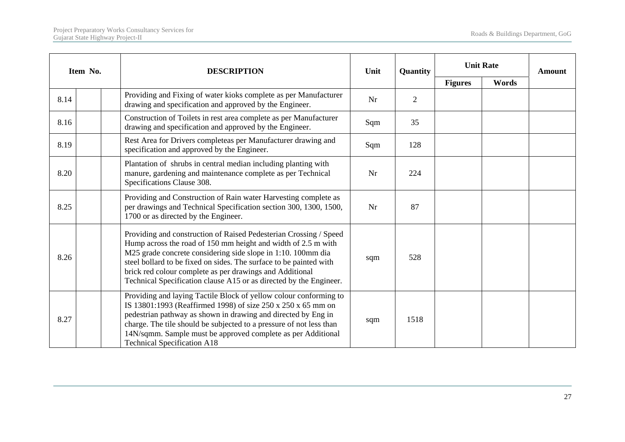| Item No. | <b>DESCRIPTION</b>                                                                                                                                                                                                                                                                                                                                                                                         | Unit       | Quantity       | <b>Unit Rate</b> |       | <b>Amount</b> |
|----------|------------------------------------------------------------------------------------------------------------------------------------------------------------------------------------------------------------------------------------------------------------------------------------------------------------------------------------------------------------------------------------------------------------|------------|----------------|------------------|-------|---------------|
|          |                                                                                                                                                                                                                                                                                                                                                                                                            |            |                | <b>Figures</b>   | Words |               |
| 8.14     | Providing and Fixing of water kioks complete as per Manufacturer<br>drawing and specification and approved by the Engineer.                                                                                                                                                                                                                                                                                | Nr         | $\overline{2}$ |                  |       |               |
| 8.16     | Construction of Toilets in rest area complete as per Manufacturer<br>drawing and specification and approved by the Engineer.                                                                                                                                                                                                                                                                               | Sqm<br>35  |                |                  |       |               |
| 8.19     | Rest Area for Drivers completeas per Manufacturer drawing and<br>specification and approved by the Engineer.                                                                                                                                                                                                                                                                                               | Sqm<br>128 |                |                  |       |               |
| 8.20     | Plantation of shrubs in central median including planting with<br>manure, gardening and maintenance complete as per Technical<br>Nr<br>224<br>Specifications Clause 308.                                                                                                                                                                                                                                   |            |                |                  |       |               |
| 8.25     | Providing and Construction of Rain water Harvesting complete as<br>per drawings and Technical Specification section 300, 1300, 1500,<br>1700 or as directed by the Engineer.                                                                                                                                                                                                                               |            | 87             |                  |       |               |
| 8.26     | Providing and construction of Raised Pedesterian Crossing / Speed<br>Hump across the road of 150 mm height and width of 2.5 m with<br>M25 grade concrete considering side slope in 1:10. 100mm dia<br>steel bollard to be fixed on sides. The surface to be painted with<br>brick red colour complete as per drawings and Additional<br>Technical Specification clause A15 or as directed by the Engineer. | sqm        | 528            |                  |       |               |
| 8.27     | Providing and laying Tactile Block of yellow colour conforming to<br>IS 13801:1993 (Reaffirmed 1998) of size 250 x 250 x 65 mm on<br>pedestrian pathway as shown in drawing and directed by Eng in<br>charge. The tile should be subjected to a pressure of not less than<br>14N/sqmm. Sample must be approved complete as per Additional<br><b>Technical Specification A18</b>                            | sqm        | 1518           |                  |       |               |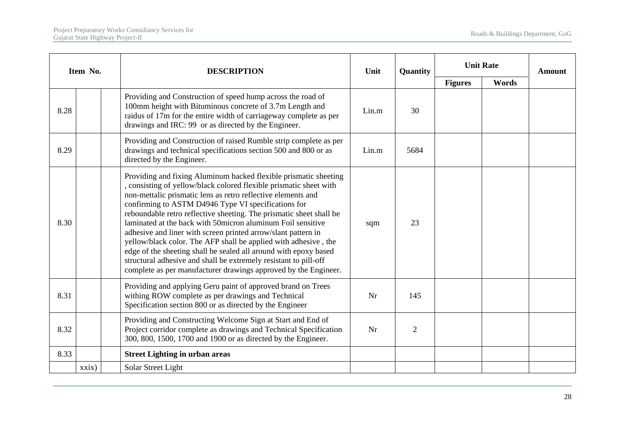|      | Item No.                                                                                                                                                          | <b>DESCRIPTION</b>                                                                                                                                                                                                                                                                                                                                                                                                                                                                                                                                                                                                                                                                                                                                  | Unit  | Quantity       | <b>Unit Rate</b> |       | <b>Amount</b> |
|------|-------------------------------------------------------------------------------------------------------------------------------------------------------------------|-----------------------------------------------------------------------------------------------------------------------------------------------------------------------------------------------------------------------------------------------------------------------------------------------------------------------------------------------------------------------------------------------------------------------------------------------------------------------------------------------------------------------------------------------------------------------------------------------------------------------------------------------------------------------------------------------------------------------------------------------------|-------|----------------|------------------|-------|---------------|
|      |                                                                                                                                                                   |                                                                                                                                                                                                                                                                                                                                                                                                                                                                                                                                                                                                                                                                                                                                                     |       |                | <b>Figures</b>   | Words |               |
| 8.28 |                                                                                                                                                                   | Providing and Construction of speed hump across the road of<br>100mm height with Bituminous concrete of 3.7m Length and<br>raidus of 17m for the entire width of carriageway complete as per<br>drawings and IRC: 99 or as directed by the Engineer.                                                                                                                                                                                                                                                                                                                                                                                                                                                                                                | Lin.m | 30             |                  |       |               |
| 8.29 | Providing and Construction of raised Rumble strip complete as per<br>drawings and technical specifications section 500 and 800 or as<br>directed by the Engineer. |                                                                                                                                                                                                                                                                                                                                                                                                                                                                                                                                                                                                                                                                                                                                                     | Lin.m | 5684           |                  |       |               |
| 8.30 |                                                                                                                                                                   | Providing and fixing Aluminum backed flexible prismatic sheeting<br>, consisting of yellow/black colored flexible prismatic sheet with<br>non-mettalic prismatic lens as retro reflective elements and<br>confirming to ASTM D4946 Type VI specifications for<br>reboundable retro reflective sheeting. The prismatic sheet shall be<br>laminated at the back with 50 micron aluminum Foil sensitive<br>adhesive and liner with screen printed arrow/slant pattern in<br>yellow/black color. The AFP shall be applied with adhesive, the<br>edge of the sheeting shall be sealed all around with epoxy based<br>structural adhesive and shall be extremely resistant to pill-off<br>complete as per manufacturer drawings approved by the Engineer. | sqm   | 23             |                  |       |               |
| 8.31 |                                                                                                                                                                   | Providing and applying Geru paint of approved brand on Trees<br>withing ROW complete as per drawings and Technical<br>Specification section 800 or as directed by the Engineer                                                                                                                                                                                                                                                                                                                                                                                                                                                                                                                                                                      | Nr    | 145            |                  |       |               |
| 8.32 |                                                                                                                                                                   | Providing and Constructing Welcome Sign at Start and End of<br>Project corridor complete as drawings and Technical Specification<br>300, 800, 1500, 1700 and 1900 or as directed by the Engineer.                                                                                                                                                                                                                                                                                                                                                                                                                                                                                                                                                   | Nr    | $\overline{2}$ |                  |       |               |
| 8.33 |                                                                                                                                                                   | <b>Street Lighting in urban areas</b>                                                                                                                                                                                                                                                                                                                                                                                                                                                                                                                                                                                                                                                                                                               |       |                |                  |       |               |
|      | $x x i x$ )                                                                                                                                                       | Solar Street Light                                                                                                                                                                                                                                                                                                                                                                                                                                                                                                                                                                                                                                                                                                                                  |       |                |                  |       |               |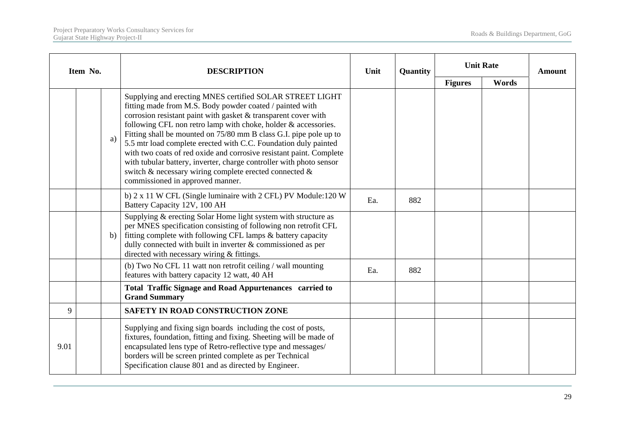| Item No. |                                                                                                              |    | <b>DESCRIPTION</b>                                                                                                                                                                                                                                                                                                                                                                                                                                                                                                                                                                                                                             | Unit | Quantity | <b>Unit Rate</b> |       | <b>Amount</b> |
|----------|--------------------------------------------------------------------------------------------------------------|----|------------------------------------------------------------------------------------------------------------------------------------------------------------------------------------------------------------------------------------------------------------------------------------------------------------------------------------------------------------------------------------------------------------------------------------------------------------------------------------------------------------------------------------------------------------------------------------------------------------------------------------------------|------|----------|------------------|-------|---------------|
|          |                                                                                                              |    |                                                                                                                                                                                                                                                                                                                                                                                                                                                                                                                                                                                                                                                |      |          | <b>Figures</b>   | Words |               |
|          |                                                                                                              | a) | Supplying and erecting MNES certified SOLAR STREET LIGHT<br>fitting made from M.S. Body powder coated / painted with<br>corrosion resistant paint with gasket $&$ transparent cover with<br>following CFL non retro lamp with choke, holder & accessories.<br>Fitting shall be mounted on 75/80 mm B class G.I. pipe pole up to<br>5.5 mtr load complete erected with C.C. Foundation duly painted<br>with two coats of red oxide and corrosive resistant paint. Complete<br>with tubular battery, inverter, charge controller with photo sensor<br>switch & necessary wiring complete erected connected &<br>commissioned in approved manner. |      |          |                  |       |               |
|          |                                                                                                              |    | b) 2 x 11 W CFL (Single luminaire with 2 CFL) PV Module:120 W<br>Battery Capacity 12V, 100 AH                                                                                                                                                                                                                                                                                                                                                                                                                                                                                                                                                  | Ea.  | 882      |                  |       |               |
|          |                                                                                                              | b) | Supplying & erecting Solar Home light system with structure as<br>per MNES specification consisting of following non retrofit CFL<br>fitting complete with following CFL lamps & battery capacity<br>dully connected with built in inverter $\&$ commissioned as per<br>directed with necessary wiring & fittings.                                                                                                                                                                                                                                                                                                                             |      |          |                  |       |               |
|          | (b) Two No CFL 11 watt non retrofit ceiling / wall mounting<br>features with battery capacity 12 watt, 40 AH |    | Ea.                                                                                                                                                                                                                                                                                                                                                                                                                                                                                                                                                                                                                                            | 882  |          |                  |       |               |
|          |                                                                                                              |    | <b>Total Traffic Signage and Road Appurtenances carried to</b><br><b>Grand Summary</b>                                                                                                                                                                                                                                                                                                                                                                                                                                                                                                                                                         |      |          |                  |       |               |
| 9        |                                                                                                              |    | <b>SAFETY IN ROAD CONSTRUCTION ZONE</b>                                                                                                                                                                                                                                                                                                                                                                                                                                                                                                                                                                                                        |      |          |                  |       |               |
| 9.01     |                                                                                                              |    | Supplying and fixing sign boards including the cost of posts,<br>fixtures, foundation, fitting and fixing. Sheeting will be made of<br>encapsulated lens type of Retro-reflective type and messages/<br>borders will be screen printed complete as per Technical<br>Specification clause 801 and as directed by Engineer.                                                                                                                                                                                                                                                                                                                      |      |          |                  |       |               |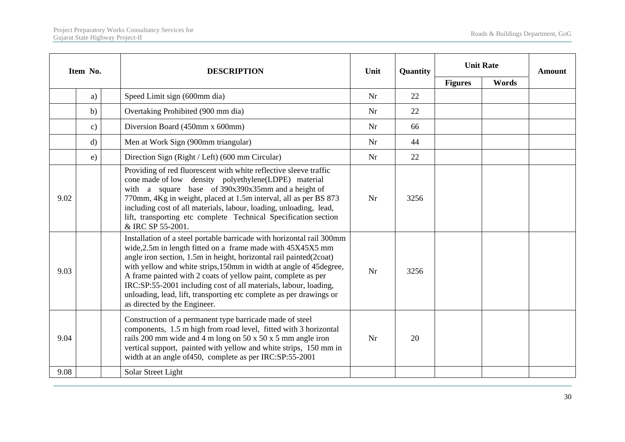|      | Item No.                                              | <b>DESCRIPTION</b>                                                                                                                                                                                                                                                                                                                                                                                                                                                                                                           | Unit | Quantity | <b>Unit Rate</b> |       | <b>Amount</b> |
|------|-------------------------------------------------------|------------------------------------------------------------------------------------------------------------------------------------------------------------------------------------------------------------------------------------------------------------------------------------------------------------------------------------------------------------------------------------------------------------------------------------------------------------------------------------------------------------------------------|------|----------|------------------|-------|---------------|
|      |                                                       |                                                                                                                                                                                                                                                                                                                                                                                                                                                                                                                              |      |          | <b>Figures</b>   | Words |               |
|      | a)                                                    | Speed Limit sign (600mm dia)                                                                                                                                                                                                                                                                                                                                                                                                                                                                                                 | Nr   | 22       |                  |       |               |
|      | b)                                                    | Overtaking Prohibited (900 mm dia)                                                                                                                                                                                                                                                                                                                                                                                                                                                                                           | Nr   | 22       |                  |       |               |
|      | $\mathbf{c})$                                         | Diversion Board (450mm x 600mm)                                                                                                                                                                                                                                                                                                                                                                                                                                                                                              | Nr   | 66       |                  |       |               |
|      | $\mathbf{d}$                                          | Men at Work Sign (900mm triangular)                                                                                                                                                                                                                                                                                                                                                                                                                                                                                          | Nr   | 44       |                  |       |               |
|      | Direction Sign (Right / Left) (600 mm Circular)<br>e) |                                                                                                                                                                                                                                                                                                                                                                                                                                                                                                                              | Nr   | 22       |                  |       |               |
| 9.02 |                                                       | Providing of red fluorescent with white reflective sleeve traffic<br>cone made of low density polyethylene(LDPE) material<br>with a square base of 390x390x35mm and a height of<br>770mm, 4Kg in weight, placed at 1.5m interval, all as per BS 873<br>including cost of all materials, labour, loading, unloading, lead,<br>lift, transporting etc complete Technical Specification section<br>& IRC SP 55-2001.                                                                                                            | Nr   | 3256     |                  |       |               |
| 9.03 |                                                       | Installation of a steel portable barricade with horizontal rail 300mm<br>wide, 2.5m in length fitted on a frame made with 45X45X5 mm<br>angle iron section, 1.5m in height, horizontal rail painted(2coat)<br>with yellow and white strips, 150mm in width at angle of 45degree,<br>A frame painted with 2 coats of yellow paint, complete as per<br>IRC:SP:55-2001 including cost of all materials, labour, loading,<br>unloading, lead, lift, transporting etc complete as per drawings or<br>as directed by the Engineer. | Nr   | 3256     |                  |       |               |
| 9.04 |                                                       | Construction of a permanent type barricade made of steel<br>components, 1.5 m high from road level, fitted with 3 horizontal<br>rails 200 mm wide and 4 m long on 50 x 50 x 5 mm angle iron<br>vertical support, painted with yellow and white strips, 150 mm in<br>width at an angle of 450, complete as per IRC:SP:55-2001                                                                                                                                                                                                 | Nr   | 20       |                  |       |               |
| 9.08 |                                                       | Solar Street Light                                                                                                                                                                                                                                                                                                                                                                                                                                                                                                           |      |          |                  |       |               |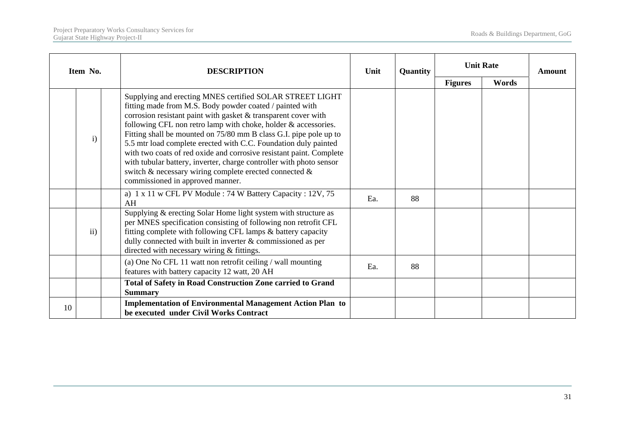|    | Item No.      | <b>DESCRIPTION</b>                                                                                                                                                                                                                                                                                                                                                                                                                                                                                                                                                                                                                           | Unit | <b>Quantity</b> | <b>Unit Rate</b> |       | Amount |
|----|---------------|----------------------------------------------------------------------------------------------------------------------------------------------------------------------------------------------------------------------------------------------------------------------------------------------------------------------------------------------------------------------------------------------------------------------------------------------------------------------------------------------------------------------------------------------------------------------------------------------------------------------------------------------|------|-----------------|------------------|-------|--------|
|    |               |                                                                                                                                                                                                                                                                                                                                                                                                                                                                                                                                                                                                                                              |      |                 | <b>Figures</b>   | Words |        |
|    | $\mathbf{i}$  | Supplying and erecting MNES certified SOLAR STREET LIGHT<br>fitting made from M.S. Body powder coated / painted with<br>corrosion resistant paint with gasket & transparent cover with<br>following CFL non retro lamp with choke, holder & accessories.<br>Fitting shall be mounted on 75/80 mm B class G.I. pipe pole up to<br>5.5 mtr load complete erected with C.C. Foundation duly painted<br>with two coats of red oxide and corrosive resistant paint. Complete<br>with tubular battery, inverter, charge controller with photo sensor<br>switch & necessary wiring complete erected connected &<br>commissioned in approved manner. |      |                 |                  |       |        |
|    |               | a) 1 x 11 w CFL PV Module : 74 W Battery Capacity : 12V, 75<br>AH                                                                                                                                                                                                                                                                                                                                                                                                                                                                                                                                                                            | Ea.  | 88              |                  |       |        |
|    | $\mathbf{ii}$ | Supplying & erecting Solar Home light system with structure as<br>per MNES specification consisting of following non retrofit CFL<br>fitting complete with following CFL lamps & battery capacity<br>dully connected with built in inverter $&$ commissioned as per<br>directed with necessary wiring & fittings.                                                                                                                                                                                                                                                                                                                            |      |                 |                  |       |        |
|    |               | (a) One No CFL 11 watt non retrofit ceiling / wall mounting<br>features with battery capacity 12 watt, 20 AH                                                                                                                                                                                                                                                                                                                                                                                                                                                                                                                                 | Ea.  | 88              |                  |       |        |
|    |               | <b>Total of Safety in Road Construction Zone carried to Grand</b><br><b>Summary</b>                                                                                                                                                                                                                                                                                                                                                                                                                                                                                                                                                          |      |                 |                  |       |        |
| 10 |               | <b>Implementation of Environmental Management Action Plan to</b><br>be executed under Civil Works Contract                                                                                                                                                                                                                                                                                                                                                                                                                                                                                                                                   |      |                 |                  |       |        |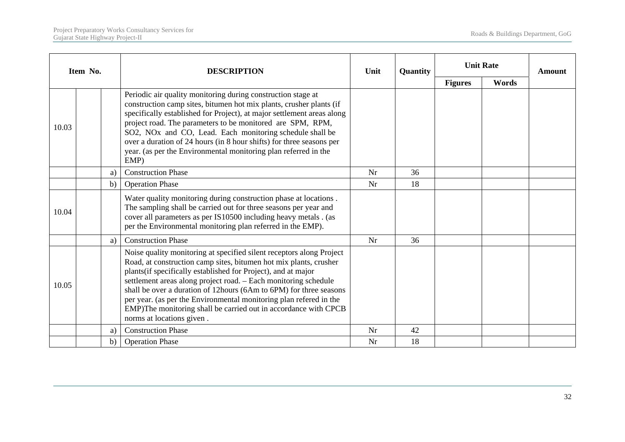|       | Item No.                                                                                                                                                                                                                                                                                                                                                                                                                                                                                                                  |              | <b>DESCRIPTION</b>                                                                                                                                                                                                                                                     | Unit | Quantity | <b>Unit Rate</b> |       | <b>Amount</b> |
|-------|---------------------------------------------------------------------------------------------------------------------------------------------------------------------------------------------------------------------------------------------------------------------------------------------------------------------------------------------------------------------------------------------------------------------------------------------------------------------------------------------------------------------------|--------------|------------------------------------------------------------------------------------------------------------------------------------------------------------------------------------------------------------------------------------------------------------------------|------|----------|------------------|-------|---------------|
|       |                                                                                                                                                                                                                                                                                                                                                                                                                                                                                                                           |              |                                                                                                                                                                                                                                                                        |      |          | <b>Figures</b>   | Words |               |
| 10.03 | Periodic air quality monitoring during construction stage at<br>construction camp sites, bitumen hot mix plants, crusher plants (if<br>specifically established for Project), at major settlement areas along<br>project road. The parameters to be monitored are SPM, RPM,<br>SO2, NO <sub>x</sub> and CO, Lead. Each monitoring schedule shall be<br>over a duration of 24 hours (in 8 hour shifts) for three seasons per<br>year. (as per the Environmental monitoring plan referred in the<br>EMP)                    |              |                                                                                                                                                                                                                                                                        |      |          |                  |       |               |
|       |                                                                                                                                                                                                                                                                                                                                                                                                                                                                                                                           | a)           | <b>Construction Phase</b>                                                                                                                                                                                                                                              | Nr   | 36       |                  |       |               |
|       |                                                                                                                                                                                                                                                                                                                                                                                                                                                                                                                           | $\mathbf{b}$ | <b>Operation Phase</b>                                                                                                                                                                                                                                                 | Nr   | 18       |                  |       |               |
| 10.04 |                                                                                                                                                                                                                                                                                                                                                                                                                                                                                                                           |              | Water quality monitoring during construction phase at locations.<br>The sampling shall be carried out for three seasons per year and<br>cover all parameters as per IS10500 including heavy metals. (as<br>per the Environmental monitoring plan referred in the EMP). |      |          |                  |       |               |
|       |                                                                                                                                                                                                                                                                                                                                                                                                                                                                                                                           | a)           | <b>Construction Phase</b>                                                                                                                                                                                                                                              | Nr   | 36       |                  |       |               |
| 10.05 | Noise quality monitoring at specified silent receptors along Project<br>Road, at construction camp sites, bitumen hot mix plants, crusher<br>plants(if specifically established for Project), and at major<br>settlement areas along project road. - Each monitoring schedule<br>shall be over a duration of 12hours (6Am to 6PM) for three seasons<br>per year. (as per the Environmental monitoring plan refered in the<br>EMP)The monitoring shall be carried out in accordance with CPCB<br>norms at locations given. |              |                                                                                                                                                                                                                                                                        |      |          |                  |       |               |
|       |                                                                                                                                                                                                                                                                                                                                                                                                                                                                                                                           | a)           | <b>Construction Phase</b>                                                                                                                                                                                                                                              | Nr   | 42       |                  |       |               |
|       |                                                                                                                                                                                                                                                                                                                                                                                                                                                                                                                           | b)           | <b>Operation Phase</b>                                                                                                                                                                                                                                                 | Nr   | 18       |                  |       |               |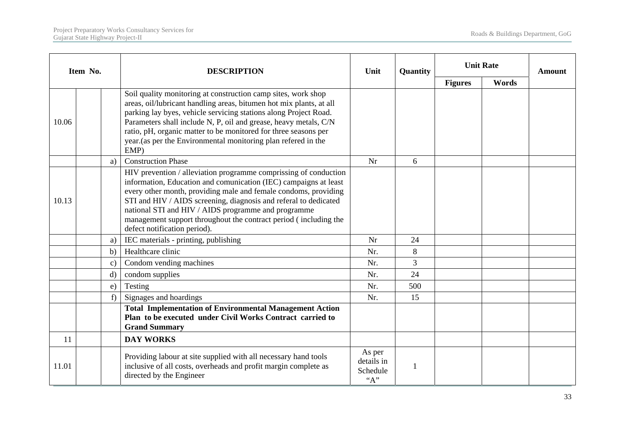| Item No.                                                                                                                                                                                                                                                                                                                                                                                                                                        |               | <b>DESCRIPTION</b>                                                                                                                                                                                                                                                                                                                                                                                                       | Unit                                    | Quantity | <b>Unit Rate</b> |       | <b>Amount</b> |
|-------------------------------------------------------------------------------------------------------------------------------------------------------------------------------------------------------------------------------------------------------------------------------------------------------------------------------------------------------------------------------------------------------------------------------------------------|---------------|--------------------------------------------------------------------------------------------------------------------------------------------------------------------------------------------------------------------------------------------------------------------------------------------------------------------------------------------------------------------------------------------------------------------------|-----------------------------------------|----------|------------------|-------|---------------|
|                                                                                                                                                                                                                                                                                                                                                                                                                                                 |               |                                                                                                                                                                                                                                                                                                                                                                                                                          |                                         |          | <b>Figures</b>   | Words |               |
| 10.06                                                                                                                                                                                                                                                                                                                                                                                                                                           |               | Soil quality monitoring at construction camp sites, work shop<br>areas, oil/lubricant handling areas, bitumen hot mix plants, at all<br>parking lay byes, vehicle servicing stations along Project Road.<br>Parameters shall include N, P, oil and grease, heavy metals, C/N<br>ratio, pH, organic matter to be monitored for three seasons per<br>year.(as per the Environmental monitoring plan refered in the<br>EMP) |                                         |          |                  |       |               |
|                                                                                                                                                                                                                                                                                                                                                                                                                                                 | a)            | <b>Construction Phase</b>                                                                                                                                                                                                                                                                                                                                                                                                | Nr                                      | 6        |                  |       |               |
| HIV prevention / alleviation programme comprissing of conduction<br>information, Education and comunication (IEC) campaigns at least<br>every other month, providing male and female condoms, providing<br>STI and HIV / AIDS screening, diagnosis and referal to dedicated<br>10.13<br>national STI and HIV / AIDS programme and programme<br>management support throughout the contract period (including the<br>defect notification period). |               |                                                                                                                                                                                                                                                                                                                                                                                                                          |                                         |          |                  |       |               |
|                                                                                                                                                                                                                                                                                                                                                                                                                                                 | a)            | IEC materials - printing, publishing                                                                                                                                                                                                                                                                                                                                                                                     | Nr                                      | 24       |                  |       |               |
|                                                                                                                                                                                                                                                                                                                                                                                                                                                 | b)            | Healthcare clinic                                                                                                                                                                                                                                                                                                                                                                                                        | Nr.                                     | 8        |                  |       |               |
|                                                                                                                                                                                                                                                                                                                                                                                                                                                 | $\mathbf{c})$ | Condom vending machines                                                                                                                                                                                                                                                                                                                                                                                                  | Nr.                                     | 3        |                  |       |               |
|                                                                                                                                                                                                                                                                                                                                                                                                                                                 | $\mathbf{d}$  | condom supplies                                                                                                                                                                                                                                                                                                                                                                                                          | Nr.                                     | 24       |                  |       |               |
|                                                                                                                                                                                                                                                                                                                                                                                                                                                 | e)            | Testing                                                                                                                                                                                                                                                                                                                                                                                                                  | Nr.                                     | 500      |                  |       |               |
|                                                                                                                                                                                                                                                                                                                                                                                                                                                 | f             | Signages and hoardings                                                                                                                                                                                                                                                                                                                                                                                                   | Nr.                                     | 15       |                  |       |               |
|                                                                                                                                                                                                                                                                                                                                                                                                                                                 |               | <b>Total Implementation of Environmental Management Action</b><br>Plan to be executed under Civil Works Contract carried to<br><b>Grand Summary</b>                                                                                                                                                                                                                                                                      |                                         |          |                  |       |               |
| 11                                                                                                                                                                                                                                                                                                                                                                                                                                              |               | <b>DAY WORKS</b>                                                                                                                                                                                                                                                                                                                                                                                                         |                                         |          |                  |       |               |
| 11.01                                                                                                                                                                                                                                                                                                                                                                                                                                           |               | Providing labour at site supplied with all necessary hand tools<br>inclusive of all costs, overheads and profit margin complete as<br>directed by the Engineer                                                                                                                                                                                                                                                           | As per<br>details in<br>Schedule<br>"A" |          |                  |       |               |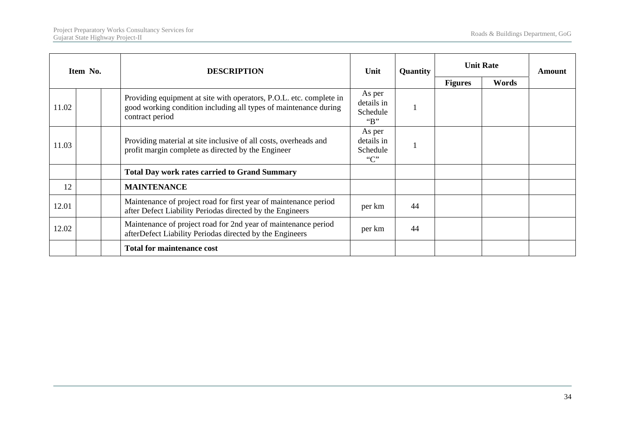| Item No. |                                                                                                                            | <b>DESCRIPTION</b>                                                                                                                                                                             | Unit                                  | Quantity | <b>Unit Rate</b> | <b>Amount</b> |  |
|----------|----------------------------------------------------------------------------------------------------------------------------|------------------------------------------------------------------------------------------------------------------------------------------------------------------------------------------------|---------------------------------------|----------|------------------|---------------|--|
|          |                                                                                                                            |                                                                                                                                                                                                |                                       |          | <b>Figures</b>   | Words         |  |
| 11.02    |                                                                                                                            | As per<br>Providing equipment at site with operators, P.O.L. etc. complete in<br>details in<br>good working condition including all types of maintenance during<br>Schedule<br>contract period |                                       |          |                  |               |  |
| 11.03    | Providing material at site inclusive of all costs, overheads and<br>profit margin complete as directed by the Engineer     |                                                                                                                                                                                                | As per<br>details in<br>Schedule<br>C |          |                  |               |  |
|          |                                                                                                                            | <b>Total Day work rates carried to Grand Summary</b>                                                                                                                                           |                                       |          |                  |               |  |
| 12       |                                                                                                                            | <b>MAINTENANCE</b>                                                                                                                                                                             |                                       |          |                  |               |  |
| 12.01    |                                                                                                                            | Maintenance of project road for first year of maintenance period<br>after Defect Liability Periodas directed by the Engineers                                                                  |                                       | 44       |                  |               |  |
| 12.02    | Maintenance of project road for 2nd year of maintenance period<br>afterDefect Liability Periodas directed by the Engineers |                                                                                                                                                                                                | per km                                | 44       |                  |               |  |
|          |                                                                                                                            | <b>Total for maintenance cost</b>                                                                                                                                                              |                                       |          |                  |               |  |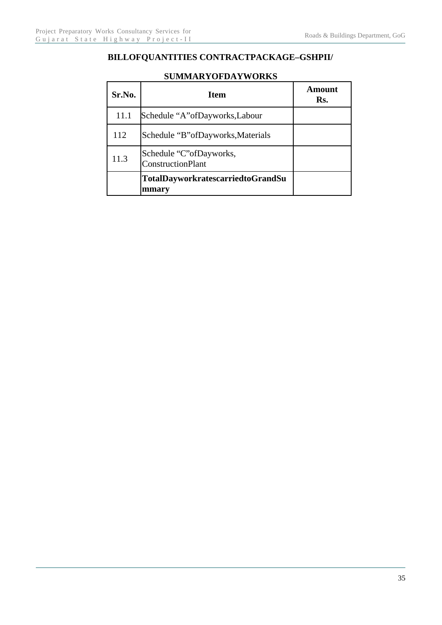# **BILLOFQUANTITIES CONTRACTPACKAGE–GSHPII/**

| Sr.No. | <b>Item</b>                                           | Amount<br>Rs. |
|--------|-------------------------------------------------------|---------------|
| 11.1   | Schedule "A" of Dayworks, Labour                      |               |
| 112    | Schedule "B" of Dayworks, Materials                   |               |
| 11.3   | Schedule "C" of Dayworks,<br><b>ConstructionPlant</b> |               |
|        | <b>TotalDayworkratescarriedtoGrandSu</b><br>mmary     |               |

#### **SUMMARYOFDAYWORKS**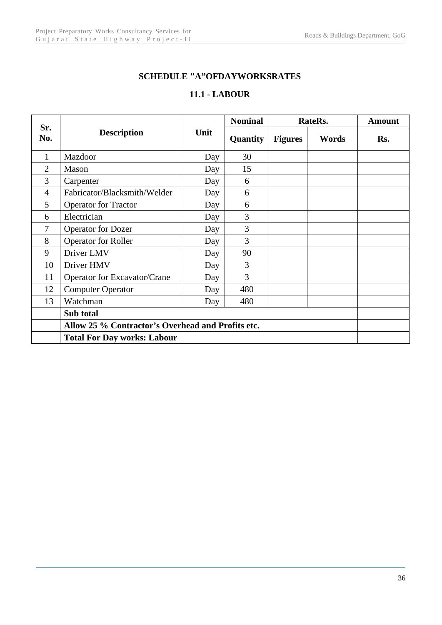#### **SCHEDULE "A"OFDAYWORKSRATES**

#### **11.1 - LABOUR**

|                |                                                   | Unit | <b>Nominal</b> | RateRs.        | <b>Amount</b> |     |  |  |
|----------------|---------------------------------------------------|------|----------------|----------------|---------------|-----|--|--|
| Sr.<br>No.     | <b>Description</b>                                |      | Quantity       | <b>Figures</b> | Words         | Rs. |  |  |
| 1              | Mazdoor                                           | Day  | 30             |                |               |     |  |  |
| $\overline{2}$ | Mason                                             | Day  | 15             |                |               |     |  |  |
| 3              | Carpenter                                         | Day  | 6              |                |               |     |  |  |
| $\overline{4}$ | Fabricator/Blacksmith/Welder                      | Day  | 6              |                |               |     |  |  |
| 5              | <b>Operator for Tractor</b>                       | Day  | 6              |                |               |     |  |  |
| 6              | Electrician                                       | Day  | 3              |                |               |     |  |  |
| 7              | <b>Operator for Dozer</b>                         | Day  | 3              |                |               |     |  |  |
| 8              | <b>Operator for Roller</b>                        | Day  | 3              |                |               |     |  |  |
| 9              | Driver LMV                                        | Day  | 90             |                |               |     |  |  |
| 10             | Driver HMV                                        | Day  | 3              |                |               |     |  |  |
| 11             | Operator for Excavator/Crane                      | Day  | 3              |                |               |     |  |  |
| 12             | <b>Computer Operator</b>                          | Day  | 480            |                |               |     |  |  |
| 13             | Watchman                                          | Day  | 480            |                |               |     |  |  |
|                | Sub total                                         |      |                |                |               |     |  |  |
|                | Allow 25 % Contractor's Overhead and Profits etc. |      |                |                |               |     |  |  |
|                | <b>Total For Day works: Labour</b>                |      |                |                |               |     |  |  |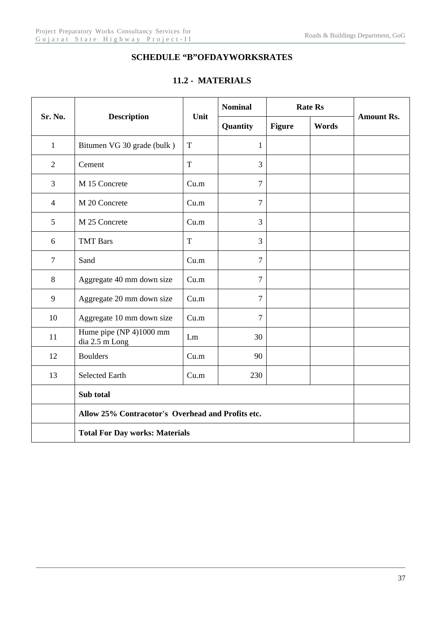### **SCHEDULE "B"OFDAYWORKSRATES**

#### **11.2 - MATERIALS**

| Sr. No.        | <b>Description</b>                                | Unit | <b>Nominal</b> |               | <b>Rate Rs</b> |                   |  |  |  |
|----------------|---------------------------------------------------|------|----------------|---------------|----------------|-------------------|--|--|--|
|                |                                                   |      | Quantity       | <b>Figure</b> | Words          | <b>Amount Rs.</b> |  |  |  |
| $\mathbf{1}$   | Bitumen VG 30 grade (bulk)                        | T    | $\mathbf{1}$   |               |                |                   |  |  |  |
| $\overline{2}$ | Cement                                            | T    | 3              |               |                |                   |  |  |  |
| 3              | M 15 Concrete                                     | Cu.m | $\overline{7}$ |               |                |                   |  |  |  |
| $\overline{4}$ | M 20 Concrete                                     | Cu.m | $\overline{7}$ |               |                |                   |  |  |  |
| 5              | M 25 Concrete                                     | Cu.m | 3              |               |                |                   |  |  |  |
| 6              | <b>TMT</b> Bars                                   | T    | 3              |               |                |                   |  |  |  |
| $\overline{7}$ | Sand                                              | Cu.m | $\overline{7}$ |               |                |                   |  |  |  |
| 8              | Aggregate 40 mm down size                         | Cu.m | $\overline{7}$ |               |                |                   |  |  |  |
| 9              | Aggregate 20 mm down size                         | Cu.m | $\overline{7}$ |               |                |                   |  |  |  |
| 10             | Aggregate 10 mm down size                         | Cu.m | $\overline{7}$ |               |                |                   |  |  |  |
| 11             | Hume pipe (NP 4)1000 mm<br>dia 2.5 m Long         | Lm   | 30             |               |                |                   |  |  |  |
| 12             | <b>Boulders</b>                                   | Cu.m | 90             |               |                |                   |  |  |  |
| 13             | <b>Selected Earth</b>                             | Cu.m | 230            |               |                |                   |  |  |  |
|                | Sub total                                         |      |                |               |                |                   |  |  |  |
|                | Allow 25% Contracotor's Overhead and Profits etc. |      |                |               |                |                   |  |  |  |
|                | <b>Total For Day works: Materials</b>             |      |                |               |                |                   |  |  |  |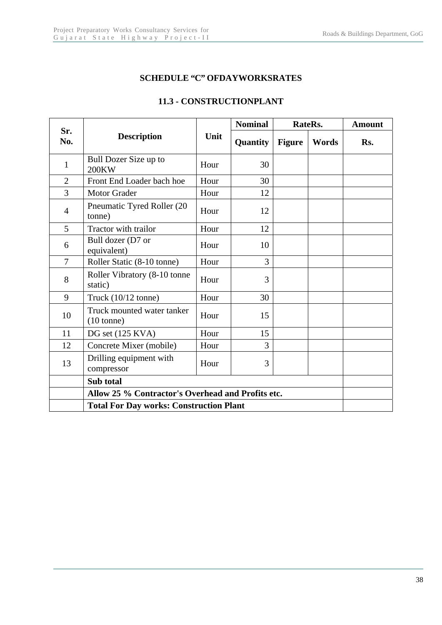#### **SCHEDULE "C" OFDAYWORKSRATES**

|                |                                                    | Unit | <b>Nominal</b> |               | RateRs. | <b>Amount</b> |
|----------------|----------------------------------------------------|------|----------------|---------------|---------|---------------|
| Sr.<br>No.     | <b>Description</b>                                 |      | Quantity       | <b>Figure</b> | Words   | Rs.           |
| $\mathbf{1}$   | Bull Dozer Size up to<br>200KW                     | Hour | 30             |               |         |               |
| $\overline{2}$ | Front End Loader bach hoe                          | Hour | 30             |               |         |               |
| $\overline{3}$ | <b>Motor Grader</b>                                | Hour | 12             |               |         |               |
| $\overline{4}$ | Pneumatic Tyred Roller (20<br>tonne)               | Hour | 12             |               |         |               |
| 5              | Tractor with trailor                               | Hour | 12             |               |         |               |
| 6              | Bull dozer (D7 or<br>equivalent)                   | Hour | 10             |               |         |               |
| $\overline{7}$ | Roller Static (8-10 tonne)                         | Hour | 3              |               |         |               |
| 8              | Roller Vibratory (8-10 tonne<br>static)            | Hour | 3              |               |         |               |
| 9              | Truck $(10/12 \text{ tonne})$                      | Hour | 30             |               |         |               |
| 10             | Truck mounted water tanker<br>$(10 \text{ tonne})$ | Hour | 15             |               |         |               |
| 11             | DG set (125 KVA)                                   | Hour | 15             |               |         |               |
| 12             | Concrete Mixer (mobile)                            | Hour | 3              |               |         |               |
| 13             | Drilling equipment with<br>compressor              | Hour | 3              |               |         |               |
|                | Sub total                                          |      |                |               |         |               |
|                | Allow 25 % Contractor's Overhead and Profits etc.  |      |                |               |         |               |
|                | <b>Total For Day works: Construction Plant</b>     |      |                |               |         |               |

#### **11.3 - CONSTRUCTIONPLANT**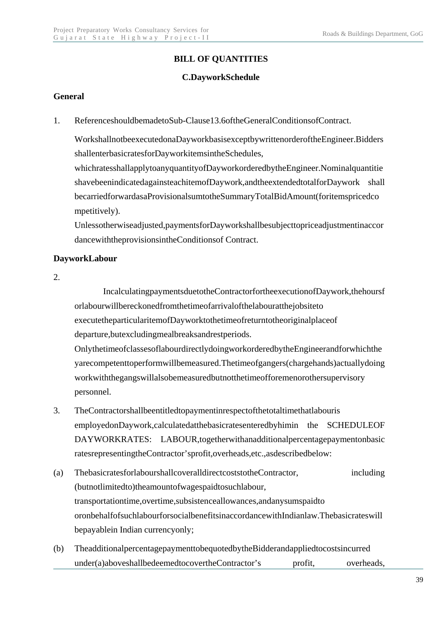# **BILL OF QUANTITIES**

#### **C.DayworkSchedule**

#### **General**

1. ReferenceshouldbemadetoSub-Clause13.6oftheGeneralConditionsofContract.

 WorkshallnotbeexecutedonaDayworkbasisexceptbywrittenorderoftheEngineer.Bidders shallenterbasicratesforDayworkitemsintheSchedules,

whichratesshallapplytoanyquantityofDayworkorderedbytheEngineer.Nominalquantitie shavebeenindicatedagainsteachitemofDaywork,andtheextendedtotalforDaywork shall becarriedforwardasaProvisionalsumtotheSummaryTotalBidAmount(foritemspricedco mpetitively).

Unlessotherwiseadjusted,paymentsforDayworkshallbesubjecttopriceadjustmentinaccor dancewiththeprovisionsintheConditionsof Contract.

#### **DayworkLabour**

#### 2.

 IncalculatingpaymentsduetotheContractorfortheexecutionofDaywork,thehoursf orlabourwillbereckonedfromthetimeofarrivalofthelabouratthejobsiteto executetheparticularitemofDayworktothetimeofreturntotheoriginalplaceof departure,butexcludingmealbreaksandrestperiods.

OnlythetimeofclassesoflabourdirectlydoingworkorderedbytheEngineerandforwhichthe yarecompetenttoperformwillbemeasured.Thetimeofgangers(chargehands)actuallydoing workwiththegangswillalsobemeasuredbutnotthetimeofforemenorothersupervisory personnel.

- 3. TheContractorshallbeentitledtopaymentinrespectofthetotaltimethatlabouris employedonDaywork,calculatedatthebasicratesenteredbyhimin the SCHEDULEOF DAYWORKRATES: LABOUR,togetherwithanadditionalpercentagepaymentonbasic ratesrepresentingtheContractor'sprofit,overheads,etc.,asdescribedbelow:
- (a) ThebasicratesforlabourshallcoveralldirectcoststotheContractor, including (butnotlimitedto)theamountofwagespaidtosuchlabour, transportationtime,overtime,subsistenceallowances,andanysumspaidto oronbehalfofsuchlabourforsocialbenefitsinaccordancewithIndianlaw.Thebasicrateswill bepayablein Indian currencyonly;
- (b) TheadditionalpercentagepaymenttobequotedbytheBidderandappliedtocostsincurred under(a)aboveshallbedeemedtocovertheContractor's profit, overheads,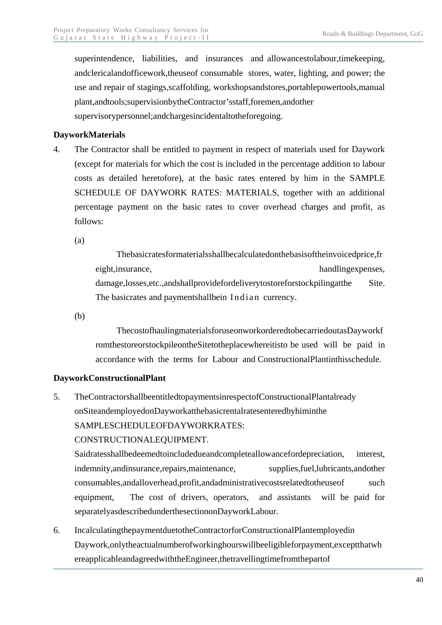superintendence, liabilities, and insurances and allowancestolabour, timekeeping, andclericalandofficework,theuseof consumable stores, water, lighting, and power; the use and repair of stagings,scaffolding, workshopsandstores,portablepowertools,manual plant,andtools;supervisionbytheContractor'sstaff,foremen,andother supervisorypersonnel;andchargesincidentaltotheforegoing.

#### **DayworkMaterials**

4. The Contractor shall be entitled to payment in respect of materials used for Daywork (except for materials for which the cost is included in the percentage addition to labour costs as detailed heretofore), at the basic rates entered by him in the SAMPLE SCHEDULE OF DAYWORK RATES: MATERIALS, together with an additional percentage payment on the basic rates to cover overhead charges and profit, as follows:

(a)

 Thebasicratesformaterialsshallbecalculatedonthebasisoftheinvoicedprice,fr eight, insurance, handlingexpenses, handlingexpenses, damage,losses,etc.,andshallprovidefordeliverytostoreforstockpilingatthe Site. The basicrates and paymentshallbein Indian currency.

(b)

 ThecostofhaulingmaterialsforuseonworkorderedtobecarriedoutasDayworkf romthestoreorstockpileontheSitetotheplacewhereitisto be used will be paid in accordance with the terms for Labour and ConstructionalPlantinthisschedule.

#### **DayworkConstructionalPlant**

5. TheContractorshallbeentitledtopaymentsinrespectofConstructionalPlantalready onSiteandemployedonDayworkatthebasicrentalratesenteredbyhiminthe SAMPLESCHEDULEOFDAYWORKRATES:

#### CONSTRUCTIONALEQUIPMENT.

Saidratesshallbedeemedtoincludedueandcompleteallowancefordepreciation, interest, indemnity, and insurance, repairs, maintenance, supplies, fuel, lubricants, and other consumables,andalloverhead,profit,andadministrativecostsrelatedtotheuseof such equipment, The cost of drivers, operators, and assistants will be paid for separatelyasdescribedunderthesectiononDayworkLabour.

6. IncalculatingthepaymentduetotheContractorforConstructionalPlantemployedin Daywork,onlytheactualnumberofworkinghourswillbeeligibleforpayment,exceptthatwh ereapplicableandagreedwiththeEngineer,thetravellingtimefromthepartof